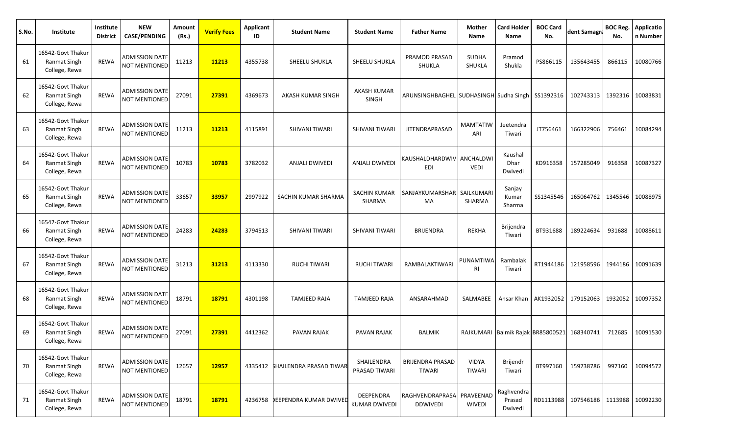| S.No. | Institute                                                 | Institute<br><b>District</b> | <b>NEW</b><br><b>CASE/PENDING</b>      | Amount<br>(Rs.) | <b>Verify Fees</b> | <b>Applicant</b><br>ID | <b>Student Name</b>                    | <b>Student Name</b>               | <b>Father Name</b>                               | Mother<br>Name         | <b>Card Holder</b><br><b>Name</b> | <b>BOC Card</b><br>No. | dent Samagra                | <b>BOC Reg.</b><br>No. | <b>Applicatio</b><br>n Number |
|-------|-----------------------------------------------------------|------------------------------|----------------------------------------|-----------------|--------------------|------------------------|----------------------------------------|-----------------------------------|--------------------------------------------------|------------------------|-----------------------------------|------------------------|-----------------------------|------------------------|-------------------------------|
| 61    | 16542-Govt Thakur<br>Ranmat Singh<br>College, Rewa        | <b>REWA</b>                  | <b>ADMISSION DATE</b><br>NOT MENTIONED | 11213           | 11213              | 4355738                | SHEELU SHUKLA                          | SHEELU SHUKLA                     | PRAMOD PRASAD<br>SHUKLA                          | <b>SUDHA</b><br>SHUKLA | Pramod<br>Shukla                  | PS866115               | 135643455                   | 866115                 | 10080766                      |
| 62    | 16542-Govt Thakur<br>Ranmat Singh<br>College, Rewa        | <b>REWA</b>                  | ADMISSION DATE<br><b>NOT MENTIONED</b> | 27091           | 27391              | 4369673                | AKASH KUMAR SINGH                      | <b>AKASH KUMAR</b><br>SINGH       | ARUNSINGHBAGHEL SUDHASINGH Sudha Singh SS1392316 |                        |                                   |                        | 102743313                   | 1392316                | 10083831                      |
| 63    | 16542-Govt Thakur<br><b>Ranmat Singh</b><br>College, Rewa | <b>REWA</b>                  | ADMISSION DATE<br><b>NOT MENTIONED</b> | 11213           | 11213              | 4115891                | SHIVANI TIWARI                         | SHIVANI TIWARI                    | <b>JITENDRAPRASAD</b>                            | <b>MAMTATIW</b><br>ARI | Jeetendra<br>Tiwari               | JT756461               | 166322906                   | 756461                 | 10084294                      |
| 64    | 16542-Govt Thakur<br>Ranmat Singh<br>College, Rewa        | <b>REWA</b>                  | ADMISSION DATE<br><b>NOT MENTIONED</b> | 10783           | 10783              | 3782032                | ANJALI DWIVEDI                         | <b>ANJALI DWIVEDI</b>             | KAUSHALDHARDWIV ANCHALDWI<br><b>EDI</b>          | <b>VEDI</b>            | Kaushal<br>Dhar<br>Dwivedi        | KD916358               | 157285049                   | 916358                 | 10087327                      |
| 65    | 16542-Govt Thakur<br><b>Ranmat Singh</b><br>College, Rewa | <b>REWA</b>                  | ADMISSION DATE<br><b>NOT MENTIONED</b> | 33657           | 33957              | 2997922                | SACHIN KUMAR SHARMA                    | SACHIN KUMAR<br>SHARMA            | SANJAYKUMARSHAR   SAILKUMARI<br>MA               | SHARMA                 | Sanjay<br>Kumar<br>Sharma         | SS1345546              | 165064762                   | 1345546                | 10088975                      |
| 66    | 16542-Govt Thakur<br>Ranmat Singh<br>College, Rewa        | <b>REWA</b>                  | ADMISSION DATE<br><b>NOT MENTIONED</b> | 24283           | 24283              | 3794513                | SHIVANI TIWARI                         | SHIVANI TIWARI                    | <b>BRIJENDRA</b>                                 | <b>REKHA</b>           | <b>Brijendra</b><br>Tiwari        | BT931688               | 189224634                   | 931688                 | 10088611                      |
| 67    | 16542-Govt Thakur<br>Ranmat Singh<br>College, Rewa        | <b>REWA</b>                  | ADMISSION DATE<br><b>NOT MENTIONED</b> | 31213           | 31213              | 4113330                | <b>RUCHI TIWARI</b>                    | <b>RUCHI TIWARI</b>               | RAMBALAKTIWARI                                   | PUNAMTIWA<br>RI        | Rambalak<br>Tiwari                | RT1944186              | 121958596                   | 1944186                | 10091639                      |
| 68    | 16542-Govt Thakur<br>Ranmat Singh<br>College, Rewa        | <b>REWA</b>                  | ADMISSION DATE<br><b>NOT MENTIONED</b> | 18791           | 18791              | 4301198                | TAMJEED RAJA                           | <b>TAMJEED RAJA</b>               | ANSARAHMAD                                       | SALMABEE               |                                   | Ansar Khan   AK1932052 | 179152063                   | 1932052                | 10097352                      |
| 69    | 16542-Govt Thakur<br><b>Ranmat Singh</b><br>College, Rewa | <b>REWA</b>                  | ADMISSION DATE<br><b>NOT MENTIONED</b> | 27091           | 27391              | 4412362                | PAVAN RAJAK                            | PAVAN RAJAK                       | BALMIK                                           |                        | RAJKUMARI Balmik Rajak BR85800521 |                        | 168340741                   | 712685                 | 10091530                      |
| 70    | 16542-Govt Thakur<br>Ranmat Singh<br>College, Rewa        | REWA                         | <b>ADMISSION DATE</b><br>NOT MENTIONED | 12657           | 12957              |                        | 4335412 <b>SHAILENDRA PRASAD TIWAR</b> | SHAILENDRA<br>PRASAD TIWARI       | <b>BRIJENDRA PRASAD</b><br><b>TIWARI</b>         | <b>VIDYA</b><br>TIWARI | Brijendr<br>Tiwari                | BT997160               | 159738786                   | 997160                 | 10094572                      |
| 71    | 16542-Govt Thakur<br><b>Ranmat Singh</b><br>College, Rewa | REWA                         | ADMISSION DATE<br>NOT MENTIONED        | 18791           | 18791              | 4236758                | DEEPENDRA KUMAR DWIVED                 | DEEPENDRA<br><b>KUMAR DWIVEDI</b> | RAGHVENDRAPRASA PRAVEENAD<br>DDWIVEDI            | <b>WIVEDI</b>          | Raghvendra<br>Prasad<br>Dwivedi   |                        | RD1113988 107546186 1113988 |                        | 10092230                      |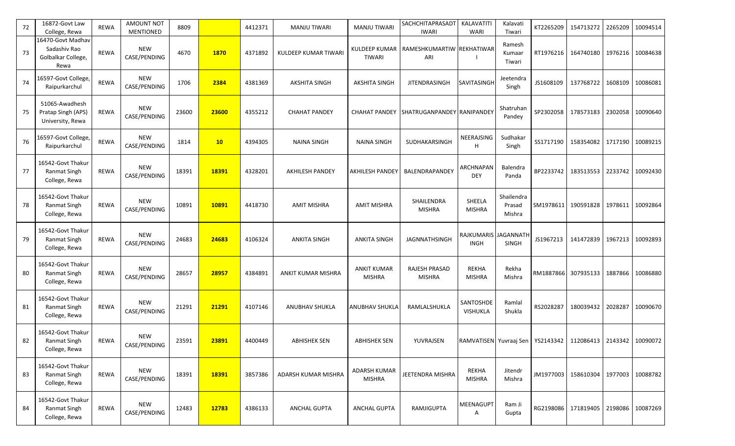| 72 | 16872-Govt Law<br>College, Rewa                                 | <b>REWA</b> | AMOUNT NOT<br>MENTIONED    | 8809  |       | 4412371 | <b>MANJU TIWARI</b>    | <b>MANJU TIWARI</b>                   | SACHCHITAPRASADT<br><b>IWARI</b>      | KALAVATITI<br><b>WARI</b>                                           | Kalavati<br>Tiwari             | KT2265209 | 154713272           | 2265209 | 10094514         |
|----|-----------------------------------------------------------------|-------------|----------------------------|-------|-------|---------|------------------------|---------------------------------------|---------------------------------------|---------------------------------------------------------------------|--------------------------------|-----------|---------------------|---------|------------------|
| 73 | 16470-Govt Madhav<br>Sadashiv Rao<br>Golbalkar College,<br>Rewa | <b>REWA</b> | <b>NEW</b><br>CASE/PENDING | 4670  | 1870  | 4371892 | KULDEEP KUMAR TIWARI   | <b>KULDEEP KUMAR</b><br><b>TIWARI</b> | RAMESHKUMARTIW REKHATIWAR<br>ARI      |                                                                     | Ramesh<br>Kumaar<br>Tiwari     | RT1976216 | 164740180           | 1976216 | 10084638         |
| 74 | 16597-Govt College,<br>Raipurkarchul                            | <b>REWA</b> | <b>NEW</b><br>CASE/PENDING | 1706  | 2384  | 4381369 | <b>AKSHITA SINGH</b>   | <b>AKSHITA SINGH</b>                  | <b>JITENDRASINGH</b>                  | <b>SAVITASINGH</b>                                                  | Jeetendra<br>Singh             | JS1608109 | 137768722           | 1608109 | 10086081         |
| 75 | 51065-Awadhesh<br>Pratap Singh (APS)<br>University, Rewa        | REWA        | <b>NEW</b><br>CASE/PENDING | 23600 | 23600 | 4355212 | <b>CHAHAT PANDEY</b>   | <b>CHAHAT PANDEY</b>                  | SHATRUGANPANDEY RANIPANDEY            |                                                                     | Shatruhan<br>Pandey            | SP2302058 | 178573183           | 2302058 | 10090640         |
| 76 | 16597-Govt College,<br>Raipurkarchul                            | <b>REWA</b> | <b>NEW</b><br>CASE/PENDING | 1814  | 10    | 4394305 | <b>NAINA SINGH</b>     | <b>NAINA SINGH</b>                    | SUDHAKARSINGH                         | NEERAJSING<br>н                                                     | Sudhakar<br>Singh              | SS1717190 | 158354082           | 1717190 | 10089215         |
| 77 | 16542-Govt Thakur<br>Ranmat Singh<br>College, Rewa              | <b>REWA</b> | <b>NEW</b><br>CASE/PENDING | 18391 | 18391 | 4328201 | <b>AKHILESH PANDEY</b> | <b>AKHILESH PANDEY</b>                | BALENDRAPANDEY                        | ARCHNAPAN<br><b>DEY</b>                                             | Balendra<br>Panda              | BP2233742 | 183513553           | 2233742 | 10092430         |
| 78 | 16542-Govt Thakur<br>Ranmat Singh<br>College, Rewa              | <b>REWA</b> | <b>NEW</b><br>CASE/PENDING | 10891 | 10891 | 4418730 | <b>AMIT MISHRA</b>     | <b>AMIT MISHRA</b>                    | SHAILENDRA<br><b>MISHRA</b>           | SHEELA<br><b>MISHRA</b>                                             | Shailendra<br>Prasad<br>Mishra | SM1978611 | 190591828           |         | 1978611 10092864 |
| 79 | 16542-Govt Thakur<br>Ranmat Singh<br>College, Rewa              | REWA        | <b>NEW</b><br>CASE/PENDING | 24683 | 24683 | 4106324 | <b>ANKITA SINGH</b>    | <b>ANKITA SINGH</b>                   | JAGNNATHSINGH                         | RAJKUMARIS JAGANNATH<br><b>INGH</b>                                 | <b>SINGH</b>                   | JS1967213 | 141472839           | 1967213 | 10092893         |
| 80 | 16542-Govt Thakur<br><b>Ranmat Singh</b><br>College, Rewa       | <b>REWA</b> | <b>NEW</b><br>CASE/PENDING | 28657 | 28957 | 4384891 | ANKIT KUMAR MISHRA     | <b>ANKIT KUMAR</b><br><b>MISHRA</b>   | <b>RAJESH PRASAD</b><br><b>MISHRA</b> | <b>REKHA</b><br><b>MISHRA</b>                                       | Rekha<br>Mishra                |           | RM1887866 307935133 | 1887866 | 10086880         |
| 81 | 16542-Govt Thakur<br>Ranmat Singh<br>College, Rewa              | REWA        | <b>NEW</b><br>CASE/PENDING | 21291 | 21291 | 4107146 | ANUBHAV SHUKLA         | ANUBHAV SHUKLA                        | RAMLALSHUKLA                          | SANTOSHDE<br>VISHUKLA                                               | Ramlal<br>Shukla               | RS2028287 | 180039432           | 2028287 | 10090670         |
| 82 | 16542-Govt Thakur<br>Ranmat Singh<br>College, Rewa              | REWA        | <b>NEW</b><br>CASE/PENDING | 23591 | 23891 | 4400449 | <b>ABHISHEK SEN</b>    | <b>ABHISHEK SEN</b>                   | YUVRAJSEN                             | RAMVATISEN Yuvraaj Sen   YS2143342   112086413   2143342   10090072 |                                |           |                     |         |                  |
| 83 | 16542-Govt Thakur<br>Ranmat Singh<br>College, Rewa              | REWA        | <b>NEW</b><br>CASE/PENDING | 18391 | 18391 | 3857386 | ADARSH KUMAR MISHRA    | <b>ADARSH KUMAR</b><br><b>MISHRA</b>  | JEETENDRA MISHRA                      | REKHA<br><b>MISHRA</b>                                              | Jitendr<br>Mishra              |           | JM1977003 158610304 |         | 1977003 10088782 |
| 84 | 16542-Govt Thakur<br>Ranmat Singh<br>College, Rewa              | REWA        | <b>NEW</b><br>CASE/PENDING | 12483 | 12783 | 4386133 | <b>ANCHAL GUPTA</b>    | <b>ANCHAL GUPTA</b>                   | RAMJIGUPTA                            | <b>MEENAGUPT</b><br>Α                                               | Ram Ji<br>Gupta                |           | RG2198086 171819405 |         | 2198086 10087269 |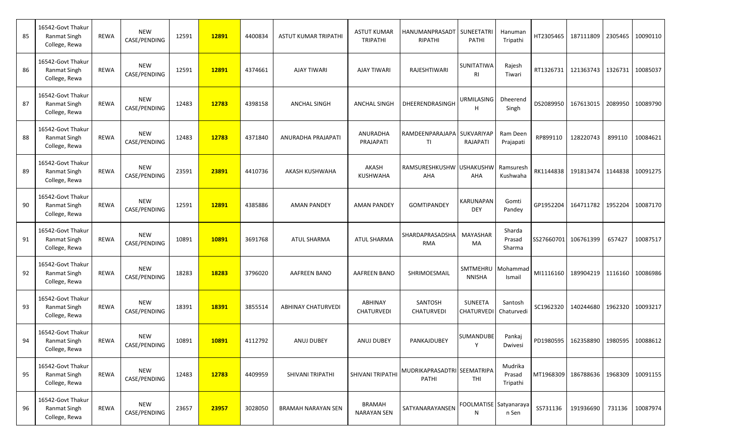| 85 | 16542-Govt Thakur<br>Ranmat Singh<br>College, Rewa        | <b>REWA</b> | <b>NEW</b><br>CASE/PENDING | 12591 | 12891 | 4400834 | ASTUT KUMAR TRIPATHI      | <b>ASTUT KUMAR</b><br><b>TRIPATHI</b> | HANUMANPRASADT   SUNEETATRI<br>RIPATHI | <b>PATHI</b>                   | Hanuman<br>Tripathi             |           | HT2305465 37111809   |         | 2305465 10090110 |
|----|-----------------------------------------------------------|-------------|----------------------------|-------|-------|---------|---------------------------|---------------------------------------|----------------------------------------|--------------------------------|---------------------------------|-----------|----------------------|---------|------------------|
| 86 | 16542-Govt Thakur<br><b>Ranmat Singh</b><br>College, Rewa | <b>REWA</b> | <b>NEW</b><br>CASE/PENDING | 12591 | 12891 | 4374661 | <b>AJAY TIWARI</b>        | <b>AJAY TIWARI</b>                    | <b>RAJESHTIWARI</b>                    | SUNITATIWA<br>RI               | Rajesh<br>Tiwari                | RT1326731 | 121363743            |         | 1326731 10085037 |
| 87 | 16542-Govt Thakur<br><b>Ranmat Singh</b><br>College, Rewa | <b>REWA</b> | <b>NEW</b><br>CASE/PENDING | 12483 | 12783 | 4398158 | <b>ANCHAL SINGH</b>       | <b>ANCHAL SINGH</b>                   | DHEERENDRASINGH                        | URMILASING<br>н                | Dheerend<br>Singh               | DS2089950 | 167613015            | 2089950 | 10089790         |
| 88 | 16542-Govt Thakur<br><b>Ranmat Singh</b><br>College, Rewa | <b>REWA</b> | <b>NEW</b><br>CASE/PENDING | 12483 | 12783 | 4371840 | ANURADHA PRAJAPATI        | ANURADHA<br>PRAJAPATI                 | RAMDEENPARAJAPA  <br>TI                | <b>SUKVARIYAF</b><br>RAJAPATI  | Ram Deen<br>Prajapati           | RP899110  | 128220743            | 899110  | 10084621         |
| 89 | 16542-Govt Thakur<br><b>Ranmat Singh</b><br>College, Rewa | <b>REWA</b> | <b>NEW</b><br>CASE/PENDING | 23591 | 23891 | 4410736 | AKASH KUSHWAHA            | AKASH<br><b>KUSHWAHA</b>              | RAMSURESHKUSHW USHAKUSHW<br>AHA        | AHA                            | Ramsuresh<br>Kushwaha           | RK1144838 | 191813474            |         | 1144838 10091275 |
| 90 | 16542-Govt Thakur<br><b>Ranmat Singh</b><br>College, Rewa | <b>REWA</b> | <b>NEW</b><br>CASE/PENDING | 12591 | 12891 | 4385886 | <b>AMAN PANDEY</b>        | <b>AMAN PANDEY</b>                    | <b>GOMTIPANDEY</b>                     | <b>KARUNAPAN</b><br><b>DEY</b> | Gomti<br>Pandey                 | GP1952204 | 164711782            |         | 1952204 10087170 |
| 91 | 16542-Govt Thakur<br><b>Ranmat Singh</b><br>College, Rewa | <b>REWA</b> | <b>NEW</b><br>CASE/PENDING | 10891 | 10891 | 3691768 | <b>ATUL SHARMA</b>        | <b>ATUL SHARMA</b>                    | SHARDAPRASADSHA<br><b>RMA</b>          | MAYASHAR<br>MA                 | Sharda<br>Prasad<br>Sharma      |           | SS27660701 106761399 | 657427  | 10087517         |
| 92 | 16542-Govt Thakur<br><b>Ranmat Singh</b><br>College, Rewa | <b>REWA</b> | <b>NEW</b><br>CASE/PENDING | 18283 | 18283 | 3796020 | <b>AAFREEN BANO</b>       | <b>AAFREEN BANO</b>                   | SHRIMOESMAIL                           | SMTMEHRU<br><b>NNISHA</b>      | Mohammad<br>Ismail              | MI1116160 | 189904219            | 1116160 | 10086986         |
| 93 | 16542-Govt Thakur<br>Ranmat Singh<br>College, Rewa        | <b>REWA</b> | <b>NEW</b><br>CASE/PENDING | 18391 | 18391 | 3855514 | <b>ABHINAY CHATURVEDI</b> | ABHINAY<br><b>CHATURVEDI</b>          | SANTOSH<br><b>CHATURVEDI</b>           | SUNEETA<br><b>CHATURVEDI</b>   | Santosh<br>Chaturvedi           | SC1962320 | 140244680            |         | 1962320 10093217 |
| 94 | 16542-Govt Thakur<br><b>Ranmat Singh</b><br>College, Rewa | <b>REWA</b> | <b>NEW</b><br>CASE/PENDING | 10891 | 10891 | 4112792 | <b>ANUJ DUBEY</b>         | <b>ANUJ DUBEY</b>                     | PANKAJDUBEY                            | SUMANDUBE                      | Pankaj<br>Dwivesi               |           | PD1980595 162358890  |         | 1980595 10088612 |
| 95 | 16542-Govt Thakur<br><b>Ranmat Singh</b><br>College, Rewa | REWA        | <b>NEW</b><br>CASE/PENDING | 12483 | 12783 | 4409959 | SHIVANI TRIPATHI          | SHIVANI TRIPATHI                      | MUDRIKAPRASADTRI SEEMATRIPA<br>PATHI   | THI                            | Mudrika<br>Prasad<br>Tripathi   |           | MT1968309 186788636  |         | 1968309 10091155 |
| 96 | 16542-Govt Thakur<br><b>Ranmat Singh</b><br>College, Rewa | REWA        | <b>NEW</b><br>CASE/PENDING | 23657 | 23957 | 3028050 | <b>BRAMAH NARAYAN SEN</b> | <b>BRAMAH</b><br><b>NARAYAN SEN</b>   | SATYANARAYANSEN                        | N                              | FOOLMATISE Satyanaraya<br>n Sen | SS731136  | 191936690            |         | 731136 10087974  |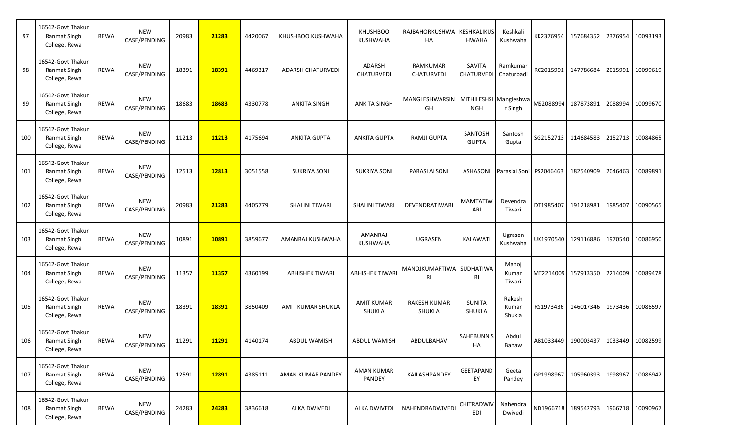| 97  | 16542-Govt Thakur<br>Ranmat Singh<br>College, Rewa        | REWA        | NEW<br>CASE/PENDING        | 20983 | 21283 | 4420067 | KHUSHBOO KUSHWAHA        | <b>KHUSHBOO</b><br><b>KUSHWAHA</b> | RAJBAHORKUSHWA KESHKALIKUS<br>HA            | <b>HWAHA</b>               | Keshkali<br>Kushwaha      |           | KK2376954 157684352                        | 2376954 | 10093193         |
|-----|-----------------------------------------------------------|-------------|----------------------------|-------|-------|---------|--------------------------|------------------------------------|---------------------------------------------|----------------------------|---------------------------|-----------|--------------------------------------------|---------|------------------|
| 98  | 16542-Govt Thakur<br>Ranmat Singh<br>College, Rewa        | <b>REWA</b> | NEW<br>CASE/PENDING        | 18391 | 18391 | 4469317 | <b>ADARSH CHATURVEDI</b> | ADARSH<br>CHATURVEDI               | RAMKUMAR<br>CHATURVEDI                      | SAVITA<br><b>CHATURVED</b> | Ramkumar<br>Chaturbadi    |           | RC2015991 147786684                        | 2015991 | 10099619         |
| 99  | 16542-Govt Thakur<br><b>Ranmat Singh</b><br>College, Rewa | <b>REWA</b> | <b>NEW</b><br>CASE/PENDING | 18683 | 18683 | 4330778 | <b>ANKITA SINGH</b>      | <b>ANKITA SINGH</b>                | MANGLESHWARSIN MITHILESHSI Mangleshwa<br>GH | <b>NGH</b>                 | r Singh                   | MS2088994 | 187873891                                  | 2088994 | 10099670         |
| 100 | 16542-Govt Thakur<br><b>Ranmat Singh</b><br>College, Rewa | REWA        | NEW<br>CASE/PENDING        | 11213 | 11213 | 4175694 | <b>ANKITA GUPTA</b>      | ANKITA GUPTA                       | <b>RAMJI GUPTA</b>                          | SANTOSH<br><b>GUPTA</b>    | Santosh<br>Gupta          | SG2152713 | 114684583                                  | 2152713 | 10084865         |
| 101 | 16542-Govt Thakur<br>Ranmat Singh<br>College, Rewa        | <b>REWA</b> | <b>NEW</b><br>CASE/PENDING | 12513 | 12813 | 3051558 | <b>SUKRIYA SONI</b>      | <b>SUKRIYA SONI</b>                | PARASLALSONI                                | <b>ASHASONI</b>            | Paraslal Soni PS2046463   |           | 182540909                                  | 2046463 | 10089891         |
| 102 | 16542-Govt Thakur<br>Ranmat Singh<br>College, Rewa        | <b>REWA</b> | NEW<br>CASE/PENDING        | 20983 | 21283 | 4405779 | <b>SHALINI TIWARI</b>    | <b>SHALINI TIWARI</b>              | DEVENDRATIWARI                              | <b>MAMTATIW</b><br>ARI     | Devendra<br>Tiwari        | DT1985407 | 191218981                                  | 1985407 | 10090565         |
| 103 | 16542-Govt Thakur<br><b>Ranmat Singh</b><br>College, Rewa | <b>REWA</b> | <b>NEW</b><br>CASE/PENDING | 10891 | 10891 | 3859677 | AMANRAJ KUSHWAHA         | <b>AMANRAJ</b><br><b>KUSHWAHA</b>  | <b>UGRASEN</b>                              | KALAWATI                   | Ugrasen<br>Kushwaha       | UK1970540 | 129116886                                  | 1970540 | 10086950         |
| 104 | 16542-Govt Thakur<br><b>Ranmat Singh</b><br>College, Rewa | REWA        | NEW<br>CASE/PENDING        | 11357 | 11357 | 4360199 | <b>ABHISHEK TIWARI</b>   | <b>ABHISHEK TIWARI</b>             | MANOJKUMARTIWA SUDHATIWA<br>RI              | RI                         | Manoj<br>Kumar<br>Tiwari  | MT2214009 | 157913350                                  | 2214009 | 10089478         |
| 105 | 16542-Govt Thakur<br><b>Ranmat Singh</b><br>College, Rewa | <b>REWA</b> | <b>NEW</b><br>CASE/PENDING | 18391 | 18391 | 3850409 | AMIT KUMAR SHUKLA        | <b>AMIT KUMAR</b><br>SHUKLA        | <b>RAKESH KUMAR</b><br>SHUKLA               | <b>SUNITA</b><br>SHUKLA    | Rakesh<br>Kumar<br>Shukla |           | RS1973436 146017346                        | 1973436 | 10086597         |
| 106 | 16542-Govt Thakur<br>Ranmat Singh<br>College, Rewa        | REWA        | <b>NEW</b><br>CASE/PENDING | 11291 | 11291 | 4140174 | <b>ABDUL WAMISH</b>      | <b>ABDUL WAMISH</b>                | ABDULBAHAV                                  | <b>SAHEBUNNIS</b><br>HA    | Abdul<br>Bahaw            |           | AB1033449 190003437                        |         | 1033449 10082599 |
| 107 | 16542-Govt Thakur<br><b>Ranmat Singh</b><br>College, Rewa | REWA        | <b>NEW</b><br>CASE/PENDING | 12591 | 12891 | 4385111 | AMAN KUMAR PANDEY        | <b>AMAN KUMAR</b><br>PANDEY        | KAILASHPANDEY                               | <b>GEETAPAND</b><br>EY     | Geeta<br>Pandey           |           | GP1998967 105960393                        |         | 1998967 10086942 |
| 108 | 16542-Govt Thakur<br>Ranmat Singh<br>College, Rewa        | REWA        | <b>NEW</b><br>CASE/PENDING | 24283 | 24283 | 3836618 | ALKA DWIVEDI             | <b>ALKA DWIVEDI</b>                | NAHENDRADWIVEDI                             | CHITRADWIV<br><b>EDI</b>   | Nahendra<br>Dwivedi       |           | ND1966718   189542793   1966718   10090967 |         |                  |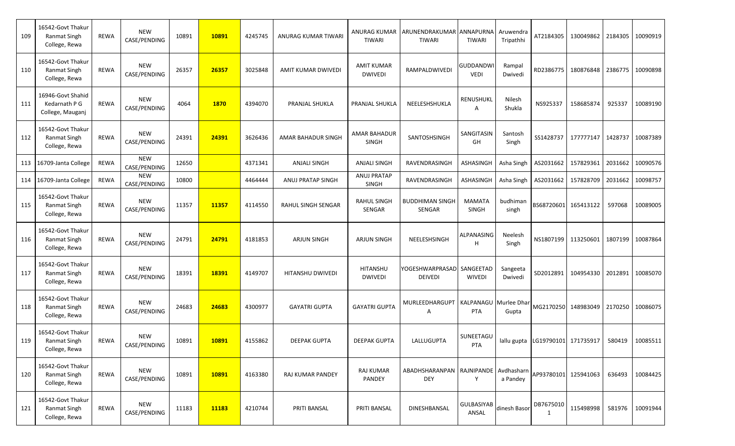| 109 | 16542-Govt Thakur<br>Ranmat Singh<br>College, Rewa        | <b>REWA</b> | <b>NEW</b><br>CASE/PENDING | 10891 | 10891 | 4245745 | ANURAG KUMAR TIWARI  | ANURAG KUMAR<br><b>TIWARI</b>       | ARUNENDRAKUMAR ANNAPURNA<br><b>TIWARI</b>          | TIWARI                         | Aruwendra<br>Tripathhi | AT2184305                        | 130049862           | 2184305 | 10090919 |
|-----|-----------------------------------------------------------|-------------|----------------------------|-------|-------|---------|----------------------|-------------------------------------|----------------------------------------------------|--------------------------------|------------------------|----------------------------------|---------------------|---------|----------|
| 110 | 16542-Govt Thakur<br>Ranmat Singh<br>College, Rewa        | <b>REWA</b> | <b>NEW</b><br>CASE/PENDING | 26357 | 26357 | 3025848 | AMIT KUMAR DWIVEDI   | <b>AMIT KUMAR</b><br><b>DWIVEDI</b> | RAMPALDWIVEDI                                      | <b>GUDDANDW</b><br><b>VEDI</b> | Rampal<br>Dwivedi      | RD2386775                        | 180876848           | 2386775 | 10090898 |
| 111 | 16946-Govt Shahid<br>Kedarnath P G<br>College, Mauganj    | <b>REWA</b> | <b>NEW</b><br>CASE/PENDING | 4064  | 1870  | 4394070 | PRANJAL SHUKLA       | PRANJAL SHUKLA                      | NEELESHSHUKLA                                      | RENUSHUKL<br>A                 | Nilesh<br>Shukla       | NS925337                         | 158685874           | 925337  | 10089190 |
| 112 | 16542-Govt Thakur<br>Ranmat Singh<br>College, Rewa        | <b>REWA</b> | <b>NEW</b><br>CASE/PENDING | 24391 | 24391 | 3626436 | AMAR BAHADUR SINGH   | <b>AMAR BAHADUR</b><br>SINGH        | SANTOSHSINGH                                       | SANGITASIN<br>GH               | Santosh<br>Singh       | SS1428737                        | 177777147           | 1428737 | 10087389 |
| 113 | 16709-Janta College                                       | <b>REWA</b> | <b>NEW</b><br>CASE/PENDING | 12650 |       | 4371341 | <b>ANJALI SINGH</b>  | ANJALI SINGH                        | RAVENDRASINGH                                      | <b>ASHASINGH</b>               | Asha Singh             | AS2031662                        | 157829361           | 2031662 | 10090576 |
| 114 | 16709-Janta College                                       | <b>REWA</b> | <b>NEW</b><br>CASE/PENDING | 10800 |       | 4464444 | ANUJ PRATAP SINGH    | ANUJ PRATAP<br><b>SINGH</b>         | RAVENDRASINGH                                      | ASHASINGH                      | Asha Singh             | AS2031662                        | 157828709           | 2031662 | 10098757 |
| 115 | 16542-Govt Thakur<br>Ranmat Singh<br>College, Rewa        | <b>REWA</b> | <b>NEW</b><br>CASE/PENDING | 11357 | 11357 | 4114550 | RAHUL SINGH SENGAR   | <b>RAHUL SINGH</b><br>SENGAR        | <b>BUDDHIMAN SINGH</b><br>SENGAR                   | <b>MAMATA</b><br><b>SINGH</b>  | budhiman<br>singh      | BS68720601 165413122             |                     | 597068  | 10089005 |
| 116 | 16542-Govt Thakur<br><b>Ranmat Singh</b><br>College, Rewa | <b>REWA</b> | <b>NEW</b><br>CASE/PENDING | 24791 | 24791 | 4181853 | <b>ARJUN SINGH</b>   | <b>ARJUN SINGH</b>                  | NEELESHSINGH                                       | ALPANASING<br>H                | Neelesh<br>Singh       | NS1807199                        | 113250601           | 1807199 | 10087864 |
| 117 | 16542-Govt Thakur<br><b>Ranmat Singh</b><br>College, Rewa | <b>REWA</b> | <b>NEW</b><br>CASE/PENDING | 18391 | 18391 | 4149707 | HITANSHU DWIVEDI     | <b>HITANSHU</b><br><b>DWIVEDI</b>   | YOGESHWARPRASAD SANGEETAD<br><b>DEIVEDI</b>        | <b>WIVEDI</b>                  | Sangeeta<br>Dwivedi    | SD2012891                        | 104954330           | 2012891 | 10085070 |
| 118 | 16542-Govt Thakur<br>Ranmat Singh<br>College, Rewa        | <b>REWA</b> | <b>NEW</b><br>CASE/PENDING | 24683 | 24683 | 4300977 | <b>GAYATRI GUPTA</b> | <b>GAYATRI GUPTA</b>                | MURLEEDHARGUPT   KALPANAGU   Murlee Dhar<br>A      | <b>PTA</b>                     | Gupta                  |                                  | MG2170250 148983049 | 2170250 | 10086075 |
| 119 | 16542-Govt Thakur<br>Ranmat Singh<br>College, Rewa        | <b>REWA</b> | <b>NEW</b><br>CASE/PENDING | 10891 | 10891 | 4155862 | <b>DEEPAK GUPTA</b>  | <b>DEEPAK GUPTA</b>                 | LALLUGUPTA                                         | SUNEETAGU<br>PTA               |                        | lallu gupta LG19790101 171735917 |                     | 580419  | 10085511 |
| 120 | 16542-Govt Thakur<br>Ranmat Singh<br>College, Rewa        | <b>REWA</b> | <b>NEW</b><br>CASE/PENDING | 10891 | 10891 | 4163380 | RAJ KUMAR PANDEY     | <b>RAJ KUMAR</b><br>PANDEY          | ABADHSHARANPAN RAJNIPANDE Avdhasharn<br><b>DEY</b> | Y                              | a Pandey               | AP93780101 125941063             |                     | 636493  | 10084425 |
| 121 | 16542-Govt Thakur<br>Ranmat Singh<br>College, Rewa        | REWA        | <b>NEW</b><br>CASE/PENDING | 11183 | 11183 | 4210744 | PRITI BANSAL         | PRITI BANSAL                        | DINESHBANSAL                                       | <b>GULBASIYAB</b><br>ANSAL     | dinesh Basor           | DB7675010<br>1                   | 115498998           | 581976  | 10091944 |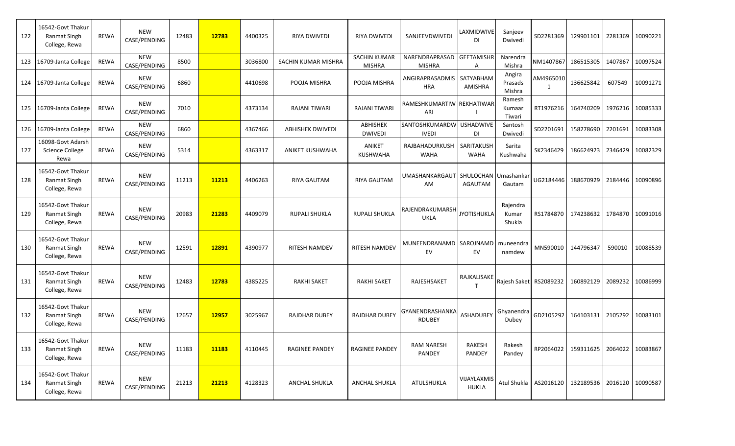| 122 | 16542-Govt Thakur<br>Ranmat Singh<br>College, Rewa        | <b>REWA</b> | <b>NEW</b><br>CASE/PENDING | 12483 | 12783 | 4400325 | <b>RIYA DWIVEDI</b>   | <b>RIYA DWIVEDI</b>                  | SANJEEVDWIVEDI                           | LAXMIDWIVE<br>DI            | Sanjeev<br>Dwivedi          | SD2281369              | 129901101 | 2281369 | 10090221 |
|-----|-----------------------------------------------------------|-------------|----------------------------|-------|-------|---------|-----------------------|--------------------------------------|------------------------------------------|-----------------------------|-----------------------------|------------------------|-----------|---------|----------|
| 123 | 16709-Janta College                                       | <b>REWA</b> | <b>NEW</b><br>CASE/PENDING | 8500  |       | 3036800 | SACHIN KUMAR MISHRA   | <b>SACHIN KUMAR</b><br><b>MISHRA</b> | NARENDRAPRASAD<br><b>MISHRA</b>          | <b>GEETAMISHR</b><br>Α      | Narendra<br>Mishra          | NM1407867              | 186515305 | 1407867 | 10097524 |
| 124 | 16709-Janta College                                       | <b>REWA</b> | <b>NEW</b><br>CASE/PENDING | 6860  |       | 4410698 | POOJA MISHRA          | POOJA MISHRA                         | ANGIRAPRASADMIS<br><b>HRA</b>            | SATYABHAN<br>AMISHRA        | Angira<br>Prasads<br>Mishra | AM4965010<br>1         | 136625842 | 607549  | 10091271 |
| 125 | 16709-Janta College                                       | <b>REWA</b> | <b>NEW</b><br>CASE/PENDING | 7010  |       | 4373134 | RAJANI TIWARI         | <b>RAJANI TIWARI</b>                 | RAMESHKUMARTIW REKHATIWAR<br>ARI         |                             | Ramesh<br>Kumaar<br>Tiwari  | RT1976216              | 164740209 | 1976216 | 10085333 |
| 126 | 16709-Janta College                                       | <b>REWA</b> | <b>NEW</b><br>CASE/PENDING | 6860  |       | 4367466 | ABHISHEK DWIVEDI      | ABHISHEK<br><b>DWIVEDI</b>           | SANTOSHKUMARDW USHADWIVE<br><b>IVEDI</b> | DI                          | Santosh<br>Dwivedi          | SD2201691              | 158278690 | 2201691 | 10083308 |
| 127 | 16098-Govt Adarsh<br>Science College<br>Rewa              | <b>REWA</b> | <b>NEW</b><br>CASE/PENDING | 5314  |       | 4363317 | ANIKET KUSHWAHA       | ANIKET<br><b>KUSHWAHA</b>            | RAJBAHADURKUSH SARITAKUSH<br><b>WAHA</b> | <b>WAHA</b>                 | Sarita<br>Kushwaha          | SK2346429              | 186624923 | 2346429 | 10082329 |
| 128 | 16542-Govt Thakur<br>Ranmat Singh<br>College, Rewa        | <b>REWA</b> | <b>NEW</b><br>CASE/PENDING | 11213 | 11213 | 4406263 | <b>RIYA GAUTAM</b>    | <b>RIYA GAUTAM</b>                   | UMASHANKARGAUT<br>AM                     | SHULOCHAN<br><b>AGAUTAM</b> | Umashankai<br>Gautam        | UG2184446              | 188670929 | 2184446 | 10090896 |
| 129 | 16542-Govt Thakur<br><b>Ranmat Singh</b><br>College, Rewa | <b>REWA</b> | <b>NEW</b><br>CASE/PENDING | 20983 | 21283 | 4409079 | <b>RUPALI SHUKLA</b>  | <b>RUPALI SHUKLA</b>                 | RAJENDRAKUMARSH<br><b>UKLA</b>           | <b>JYOTISHUKLA</b>          | Rajendra<br>Kumar<br>Shukla | RS1784870              | 174238632 | 1784870 | 10091016 |
| 130 | 16542-Govt Thakur<br>Ranmat Singh<br>College, Rewa        | <b>REWA</b> | <b>NEW</b><br>CASE/PENDING | 12591 | 12891 | 4390977 | <b>RITESH NAMDEV</b>  | <b>RITESH NAMDEV</b>                 | MUNEENDRANAMD SAROJNAMD<br>EV            | EV                          | muneendra<br>namdew         | MN590010               | 144796347 | 590010  | 10088539 |
| 131 | 16542-Govt Thakur<br>Ranmat Singh<br>College, Rewa        | <b>REWA</b> | <b>NEW</b><br>CASE/PENDING | 12483 | 12783 | 4385225 | <b>RAKHI SAKET</b>    | <b>RAKHI SAKET</b>                   | RAJESHSAKET                              | RAJKALISAKE<br>$\mathsf{T}$ |                             | Rajesh Saket RS2089232 | 160892129 | 2089232 | 10086999 |
| 132 | 16542-Govt Thakur<br>Ranmat Singh<br>College, Rewa        | <b>REWA</b> | <b>NEW</b><br>CASE/PENDING | 12657 | 12957 | 3025967 | <b>RAJDHAR DUBEY</b>  | <b>RAJDHAR DUBEY</b>                 | GYANENDRASHANKA<br><b>RDUBEY</b>         | ASHADUBEY                   | Ghyanendra<br>Dubey         | GD2105292              | 164103131 | 2105292 | 10083101 |
| 133 | 16542-Govt Thakur<br>Ranmat Singh<br>College, Rewa        | <b>REWA</b> | <b>NEW</b><br>CASE/PENDING | 11183 | 11183 | 4110445 | <b>RAGINEE PANDEY</b> | <b>RAGINEE PANDEY</b>                | <b>RAM NARESH</b><br>PANDEY              | RAKESH<br>PANDEY            | Rakesh<br>Pandey            | RP2064022              | 159311625 | 2064022 | 10083867 |
| 134 | 16542-Govt Thakur<br>Ranmat Singh<br>College, Rewa        | <b>REWA</b> | <b>NEW</b><br>CASE/PENDING | 21213 | 21213 | 4128323 | <b>ANCHAL SHUKLA</b>  | <b>ANCHAL SHUKLA</b>                 | ATULSHUKLA                               | VIJAYLAXMIS<br><b>HUKLA</b> | Atul Shukla                 | AS2016120              | 132189536 | 2016120 | 10090587 |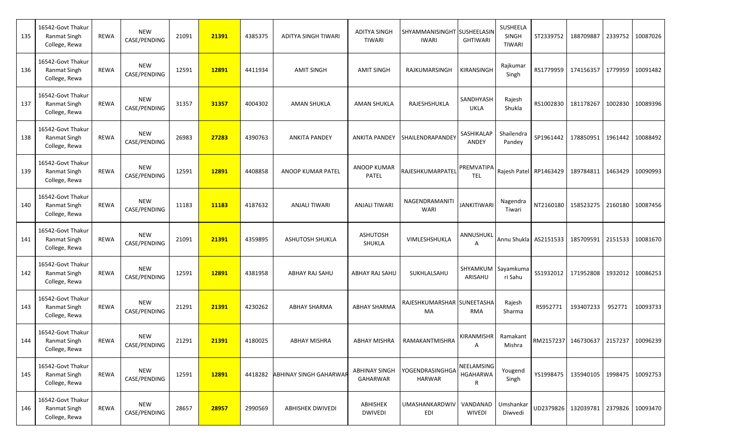| 135 | 16542-Govt Thakur<br>Ranmat Singh<br>College, Rewa        | <b>REWA</b> | <b>NEW</b><br>CASE/PENDING | 21091 | 21391 | 4385375 | <b>ADITYA SINGH TIWARI</b>    | <b>ADITYA SINGH</b><br><b>TIWARI</b> | SHYAMMANISINGHT SUSHEELASIN<br><b>IWARI</b> | <b>GHTIWARI</b>             | SUSHEELA<br>SINGH<br><b>TIWARI</b> |                                     | ST2339752 188709887 |         | 2339752 10087026 |
|-----|-----------------------------------------------------------|-------------|----------------------------|-------|-------|---------|-------------------------------|--------------------------------------|---------------------------------------------|-----------------------------|------------------------------------|-------------------------------------|---------------------|---------|------------------|
| 136 | 16542-Govt Thakur<br>Ranmat Singh<br>College, Rewa        | <b>REWA</b> | <b>NEW</b><br>CASE/PENDING | 12591 | 12891 | 4411934 | <b>AMIT SINGH</b>             | <b>AMIT SINGH</b>                    | RAJKUMARSINGH                               | KIRANSINGH                  | Rajkumar<br>Singh                  |                                     | RS1779959 174156357 |         | 1779959 10091482 |
| 137 | 16542-Govt Thakur<br><b>Ranmat Singh</b><br>College, Rewa | <b>REWA</b> | <b>NEW</b><br>CASE/PENDING | 31357 | 31357 | 4004302 | <b>AMAN SHUKLA</b>            | <b>AMAN SHUKLA</b>                   | RAJESHSHUKLA                                | SANDHYASH<br><b>UKLA</b>    | Rajesh<br>Shukla                   |                                     | RS1002830 181178267 |         | 1002830 10089396 |
| 138 | 16542-Govt Thakur<br>Ranmat Singh<br>College, Rewa        | <b>REWA</b> | <b>NEW</b><br>CASE/PENDING | 26983 | 27283 | 4390763 | <b>ANKITA PANDEY</b>          | <b>ANKITA PANDEY</b>                 | SHAILENDRAPANDEY                            | SASHIKALAP<br>ANDEY         | Shailendra<br>Pandey               | SP1961442                           | 178850951           |         | 1961442 10088492 |
| 139 | 16542-Govt Thakur<br>Ranmat Singh<br>College, Rewa        | <b>REWA</b> | <b>NEW</b><br>CASE/PENDING | 12591 | 12891 | 4408858 | ANOOP KUMAR PATEL             | <b>ANOOP KUMAR</b><br>PATEL          | RAJESHKUMARPATEL                            | PREMVATIPA<br><b>TEL</b>    |                                    | Rajesh Patel RP1463429 189784811    |                     |         | 1463429 10090993 |
| 140 | 16542-Govt Thakur<br>Ranmat Singh<br>College, Rewa        | <b>REWA</b> | <b>NEW</b><br>CASE/PENDING | 11183 | 11183 | 4187632 | ANJALI TIWARI                 | <b>ANJALI TIWARI</b>                 | NAGENDRAMANIT<br><b>WARI</b>                | <b>JANKITIWARI</b>          | Nagendra<br>Tiwari                 | NT2160180                           | 158523275           |         | 2160180 10087456 |
| 141 | 16542-Govt Thakur<br>Ranmat Singh<br>College, Rewa        | <b>REWA</b> | <b>NEW</b><br>CASE/PENDING | 21091 | 21391 | 4359895 | <b>ASHUTOSH SHUKLA</b>        | <b>ASHUTOSH</b><br>SHUKLA            | VIMLESHSHUKLA                               | ANNUSHUKL<br>A              |                                    | Annu Shukla   AS2151533   185709591 |                     |         | 2151533 10081670 |
| 142 | 16542-Govt Thakur<br><b>Ranmat Singh</b><br>College, Rewa | <b>REWA</b> | <b>NEW</b><br>CASE/PENDING | 12591 | 12891 | 4381958 | ABHAY RAJ SAHU                | ABHAY RAJ SAHU                       | SUKHLALSAHU                                 | ARISAHU                     | SHYAMKUM   Sayamkuma<br>ri Sahu    | SS1932012                           | 171952808           | 1932012 | 10086253         |
| 143 | 16542-Govt Thakur<br>Ranmat Singh<br>College, Rewa        | <b>REWA</b> | <b>NEW</b><br>CASE/PENDING | 21291 | 21391 | 4230262 | <b>ABHAY SHARMA</b>           | <b>ABHAY SHARMA</b>                  | RAJESHKUMARSHAR SUNEETASHA<br>MA            | <b>RMA</b>                  | Rajesh<br>Sharma                   | RS952771                            | 193407233           | 952771  | 10093733         |
| 144 | 16542-Govt Thakur<br>Ranmat Singh<br>College, Rewa        | REWA        | <b>NEW</b><br>CASE/PENDING | 21291 | 21391 | 4180025 | <b>ABHAY MISHRA</b>           | <b>ABHAY MISHRA</b>                  | RAMAKANTMISHRA                              | KIRANMISHR                  | Ramakant<br>Mishra                 |                                     | RM2157237 146730637 |         | 2157237 10096239 |
| 145 | 16542-Govt Thakur<br><b>Ranmat Singh</b><br>College, Rewa | REWA        | <b>NEW</b><br>CASE/PENDING | 12591 | 12891 | 4418282 | <b>ABHINAY SINGH GAHARWAR</b> | <b>ABHINAY SINGH</b><br>GAHARWAR     | YOGENDRASINGHGA<br>HARWAR                   | NEELAMSING<br>HGAHARWA<br>R | Yougend<br>Singh                   |                                     | YS1998475 135940105 |         | 1998475 10092753 |
| 146 | 16542-Govt Thakur<br>Ranmat Singh<br>College, Rewa        | REWA        | <b>NEW</b><br>CASE/PENDING | 28657 | 28957 | 2990569 | <b>ABHISHEK DWIVEDI</b>       | ABHISHEK<br><b>DWIVEDI</b>           | UMASHANKARDWIV<br>EDI                       | VANDANAD<br>WIVEDI          | Umshankar<br>Diwvedi               |                                     | UD2379826 132039781 |         | 2379826 10093470 |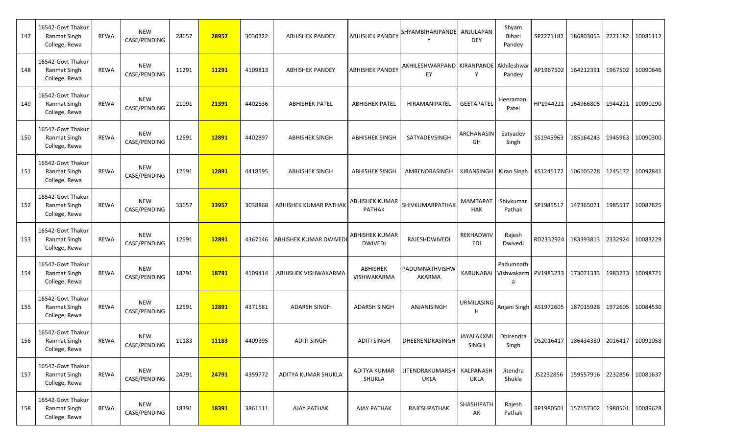| 147 | 16542-Govt Thakur<br>Ranmat Singh<br>College, Rewa        | <b>REWA</b> | <b>NEW</b><br>CASE/PENDING | 28657 | 28957 | 3030722 | <b>ABHISHEK PANDEY</b> | <b>ABHISHEK PANDEY</b>                  | SHYAMBIHARIPANDE ANJULAPAN                   | <b>DEY</b>                    | Shyam<br>Bihari<br>Pandey    |           | SP2271182   186803053                | 2271182 10086112 |
|-----|-----------------------------------------------------------|-------------|----------------------------|-------|-------|---------|------------------------|-----------------------------------------|----------------------------------------------|-------------------------------|------------------------------|-----------|--------------------------------------|------------------|
| 148 | 16542-Govt Thakur<br><b>Ranmat Singh</b><br>College, Rewa | <b>REWA</b> | <b>NEW</b><br>CASE/PENDING | 11291 | 11291 | 4109813 | <b>ABHISHEK PANDEY</b> | <b>ABHISHEK PANDEY</b>                  | AKHILESHWARPAND KIRANPANDE Akhileshwar<br>EY | Y                             | Pandey                       |           | AP1967502 164212391                  | 1967502 10090646 |
| 149 | 16542-Govt Thakur<br><b>Ranmat Singh</b><br>College, Rewa | <b>REWA</b> | <b>NEW</b><br>CASE/PENDING | 21091 | 21391 | 4402836 | <b>ABHISHEK PATEL</b>  | <b>ABHISHEK PATEL</b>                   | HIRAMANIPATEL                                | <b>GEETAPATEL</b>             | Heeramani<br>Patel           |           | HP1944221 164966805                  | 1944221 10090290 |
| 150 | 16542-Govt Thakur<br>Ranmat Singh<br>College, Rewa        | <b>REWA</b> | <b>NEW</b><br>CASE/PENDING | 12591 | 12891 | 4402897 | <b>ABHISHEK SINGH</b>  | <b>ABHISHEK SINGH</b>                   | SATYADEVSINGH                                | ARCHANASIN<br>GH              | Satyadev<br>Singh            | SS1945963 | 185164243                            | 1945963 10090300 |
| 151 | 16542-Govt Thakur<br>Ranmat Singh<br>College, Rewa        | <b>REWA</b> | <b>NEW</b><br>CASE/PENDING | 12591 | 12891 | 4418595 | <b>ABHISHEK SINGH</b>  | <b>ABHISHEK SINGH</b>                   | AMRENDRASINGH                                |                               | KIRANSINGH Kiran Singh       |           | KS1245172 106105228                  | 1245172 10092841 |
| 152 | 16542-Govt Thakur<br>Ranmat Singh<br>College, Rewa        | <b>REWA</b> | <b>NEW</b><br>CASE/PENDING | 33657 | 33957 | 3038868 | ABHISHEK KUMAR PATHAK  | <b>ABHISHEK KUMAR</b><br><b>PATHAK</b>  | SHIVKUMARPATHAK                              | <b>MAMTAPAT</b><br><b>HAK</b> | Shivkumar<br>Pathak          | SP1985517 | 147365071                            | 1985517 10087825 |
| 153 | 16542-Govt Thakur<br>Ranmat Singh<br>College, Rewa        | <b>REWA</b> | <b>NEW</b><br>CASE/PENDING | 12591 | 12891 | 4367146 | ABHISHEK KUMAR DWIVEDI | <b>ABHISHEK KUMAR</b><br><b>DWIVEDI</b> | RAJESHDWIVEDI                                | REKHADWIV<br>EDI              | Rajesh<br>Dwivedi            | RD2332924 | 183393813                            | 2332924 10083229 |
| 154 | 16542-Govt Thakur<br><b>Ranmat Singh</b><br>College, Rewa | <b>REWA</b> | <b>NEW</b><br>CASE/PENDING | 18791 | 18791 | 4109414 | ABHISHEK VISHWAKARMA   | ABHISHEK<br>VISHWAKARMA                 | PADUMNATHVISHW<br>AKARMA                     | KARUNABAI                     | Padumnath<br>Vishwakarm<br>a |           | PV1983233 173071333                  | 1983233 10098721 |
| 155 | 16542-Govt Thakur<br>Ranmat Singh<br>College, Rewa        | <b>REWA</b> | <b>NEW</b><br>CASE/PENDING | 12591 | 12891 | 4371581 | <b>ADARSH SINGH</b>    | <b>ADARSH SINGH</b>                     | ANJANISINGH                                  | <b>URMILASING</b><br>н        |                              |           | Anjani Singh   AS1972605   187015928 | 1972605 10084530 |
| 156 | 16542-Govt Thakur<br>Ranmat Singh<br>College, Rewa        | REWA        | <b>NEW</b><br>CASE/PENDING | 11183 | 11183 | 4409395 | <b>ADITI SINGH</b>     | <b>ADITI SINGH</b>                      | DHEERENDRASINGH                              | JAYALAKXMI<br>SINGH           | Dhirendra<br>Singh           |           | DS2016417   186434380                | 2016417 10091058 |
| 157 | 16542-Govt Thakur<br><b>Ranmat Singh</b><br>College, Rewa | REWA        | <b>NEW</b><br>CASE/PENDING | 24791 | 24791 | 4359772 | ADITYA KUMAR SHUKLA    | <b>ADITYA KUMAR</b><br>SHUKLA           | JITENDRAKUMARSH   KALPANASH<br>UKLA          | UKLA                          | Jitendra<br>Shukla           |           | JS2232856 359557916 2232856 10081637 |                  |
| 158 | 16542-Govt Thakur<br>Ranmat Singh<br>College, Rewa        | REWA        | <b>NEW</b><br>CASE/PENDING | 18391 | 18391 | 3861111 | AJAY PATHAK            | AJAY PATHAK                             | RAJESHPATHAK                                 | SHASHIPATH<br>AK              | Rajesh<br>Pathak             |           | RP1980501 157157302                  | 1980501 10089628 |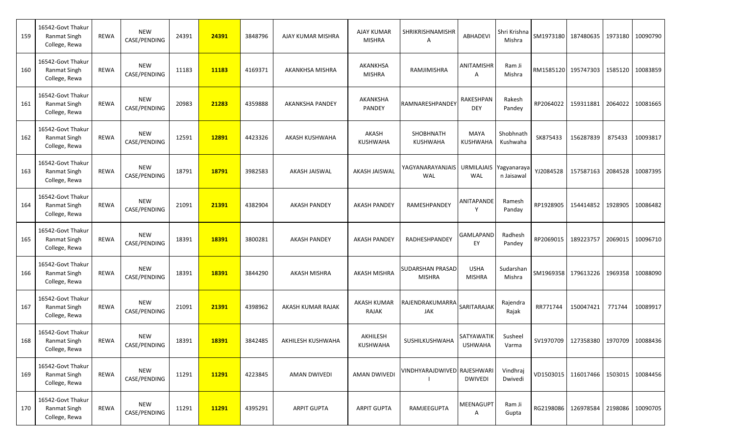| 159 | 16542-Govt Thakur<br><b>Ranmat Singh</b><br>College, Rewa | <b>REWA</b> | <b>NEW</b><br>CASE/PENDING | 24391 | 24391 | 3848796 | AJAY KUMAR MISHRA      | <b>AJAY KUMAR</b><br><b>MISHRA</b> | SHRIKRISHNAMISHR<br>A             | <b>ABHADEVI</b>                 | Shri Krishna<br>Mishra    |           | SM1973180 187480635 |         | 1973180 10090790 |
|-----|-----------------------------------------------------------|-------------|----------------------------|-------|-------|---------|------------------------|------------------------------------|-----------------------------------|---------------------------------|---------------------------|-----------|---------------------|---------|------------------|
| 160 | 16542-Govt Thakur<br>Ranmat Singh<br>College, Rewa        | <b>REWA</b> | <b>NEW</b><br>CASE/PENDING | 11183 | 11183 | 4169371 | AKANKHSA MISHRA        | AKANKHSA<br><b>MISHRA</b>          | RAMJIMISHRA                       | ANITAMISHR<br>A                 | Ram Ji<br>Mishra          |           | RM1585120 195747303 |         | 1585120 10083859 |
| 161 | 16542-Govt Thakur<br><b>Ranmat Singh</b><br>College, Rewa | <b>REWA</b> | <b>NEW</b><br>CASE/PENDING | 20983 | 21283 | 4359888 | <b>AKANKSHA PANDEY</b> | AKANKSHA<br>PANDEY                 | RAMNARESHPANDEY                   | RAKESHPAN<br><b>DEY</b>         | Rakesh<br>Pandey          | RP2064022 | 159311881           |         | 2064022 10081665 |
| 162 | 16542-Govt Thakur<br><b>Ranmat Singh</b><br>College, Rewa | <b>REWA</b> | <b>NEW</b><br>CASE/PENDING | 12591 | 12891 | 4423326 | AKASH KUSHWAHA         | AKASH<br><b>KUSHWAHA</b>           | SHOBHNATH<br><b>KUSHWAHA</b>      | MAYA<br><b>KUSHWAHA</b>         | Shobhnath<br>Kushwaha     | SK875433  | 156287839           | 875433  | 10093817         |
| 163 | 16542-Govt Thakur<br><b>Ranmat Singh</b><br>College, Rewa | <b>REWA</b> | <b>NEW</b><br>CASE/PENDING | 18791 | 18791 | 3982583 | AKASH JAISWAL          | AKASH JAISWAL                      | YAGYANARAYANJAIS<br><b>WAL</b>    | <b>URMILAJAIS</b><br><b>WAL</b> | Yagyanaraya<br>n Jaisawal | YJ2084528 | 157587163           |         | 2084528 10087395 |
| 164 | 16542-Govt Thakur<br>Ranmat Singh<br>College, Rewa        | <b>REWA</b> | <b>NEW</b><br>CASE/PENDING | 21091 | 21391 | 4382904 | <b>AKASH PANDEY</b>    | <b>AKASH PANDEY</b>                | RAMESHPANDEY                      | ANITAPANDE<br>Y                 | Ramesh<br>Panday          | RP1928905 | 154414852           | 1928905 | 10086482         |
| 165 | 16542-Govt Thakur<br><b>Ranmat Singh</b><br>College, Rewa | <b>REWA</b> | <b>NEW</b><br>CASE/PENDING | 18391 | 18391 | 3800281 | <b>AKASH PANDEY</b>    | <b>AKASH PANDEY</b>                | RADHESHPANDEY                     | GAMLAPAND<br>EY                 | Radhesh<br>Pandey         | RP2069015 | 189223757           | 2069015 | 10096710         |
| 166 | 16542-Govt Thakur<br>Ranmat Singh<br>College, Rewa        | <b>REWA</b> | <b>NEW</b><br>CASE/PENDING | 18391 | 18391 | 3844290 | <b>AKASH MISHRA</b>    | <b>AKASH MISHRA</b>                | SUDARSHAN PRASAD<br><b>MISHRA</b> | <b>USHA</b><br><b>MISHRA</b>    | Sudarshan<br>Mishra       |           | SM1969358 179613226 |         | 1969358 10088090 |
| 167 | 16542-Govt Thakur<br><b>Ranmat Singh</b><br>College, Rewa | <b>REWA</b> | <b>NEW</b><br>CASE/PENDING | 21091 | 21391 | 4398962 | AKASH KUMAR RAJAK      | <b>AKASH KUMAR</b><br>RAJAK        | RAJENDRAKUMARRA<br><b>JAK</b>     | SARITARAJAK                     | Rajendra<br>Rajak         | RR771744  | 150047421           | 771744  | 10089917         |
| 168 | 16542-Govt Thakur<br>Ranmat Singh<br>College, Rewa        | <b>REWA</b> | <b>NEW</b><br>CASE/PENDING | 18391 | 18391 | 3842485 | AKHILESH KUSHWAHA      | AKHILESH<br><b>KUSHWAHA</b>        | SUSHILKUSHWAHA                    | SATYAWATIK<br><b>USHWAHA</b>    | Susheel<br>Varma          |           | SV1970709 127358380 |         | 1970709 10088436 |
| 169 | 16542-Govt Thakur<br><b>Ranmat Singh</b><br>College, Rewa | REWA        | <b>NEW</b><br>CASE/PENDING | 11291 | 11291 | 4223845 | <b>AMAN DWIVEDI</b>    | <b>AMAN DWIVEDI</b>                | VINDHYARAJDWIVED RAJESHWARI       | <b>DWIVEDI</b>                  | Vindhraj<br>Dwivedi       |           | VD1503015 116017466 |         | 1503015 10084456 |
| 170 | 16542-Govt Thakur<br><b>Ranmat Singh</b><br>College, Rewa | REWA        | <b>NEW</b><br>CASE/PENDING | 11291 | 11291 | 4395291 | <b>ARPIT GUPTA</b>     | <b>ARPIT GUPTA</b>                 | RAMJEEGUPTA                       | MEENAGUPT<br>Α                  | Ram Ji<br>Gupta           |           | RG2198086 126978584 |         | 2198086 10090705 |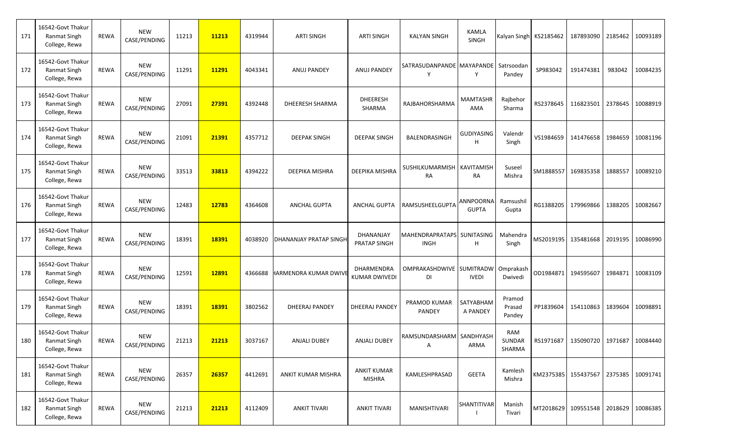| 171 | 16542-Govt Thakur<br><b>Ranmat Singh</b><br>College, Rewa | <b>REWA</b> | <b>NEW</b><br>CASE/PENDING | 11213 | 11213 | 4319944 | <b>ARTI SINGH</b>         | <b>ARTI SINGH</b>                   | <b>KALYAN SINGH</b>                       | KAMLA<br>SINGH            |                            | Kalyan Singh KS2185462   187893090 |                       |         | 2185462 10093189 |
|-----|-----------------------------------------------------------|-------------|----------------------------|-------|-------|---------|---------------------------|-------------------------------------|-------------------------------------------|---------------------------|----------------------------|------------------------------------|-----------------------|---------|------------------|
| 172 | 16542-Govt Thakur<br>Ranmat Singh<br>College, Rewa        | <b>REWA</b> | <b>NEW</b><br>CASE/PENDING | 11291 | 11291 | 4043341 | ANUJ PANDEY               | <b>ANUJ PANDEY</b>                  | SATRASUDANPANDE MAYAPANDE<br>Y            | Y                         | Satrsoodan<br>Pandey       | SP983042                           | 191474381             | 983042  | 10084235         |
| 173 | 16542-Govt Thakur<br><b>Ranmat Singh</b><br>College, Rewa | <b>REWA</b> | <b>NEW</b><br>CASE/PENDING | 27091 | 27391 | 4392448 | <b>DHEERESH SHARMA</b>    | <b>DHEERESH</b><br>SHARMA           | RAJBAHORSHARMA                            | <b>MAMTASHR</b><br>AMA    | Rajbehor<br>Sharma         | RS2378645                          | 116823501             |         | 2378645 10088919 |
| 174 | 16542-Govt Thakur<br>Ranmat Singh<br>College, Rewa        | <b>REWA</b> | <b>NEW</b><br>CASE/PENDING | 21091 | 21391 | 4357712 | <b>DEEPAK SINGH</b>       | <b>DEEPAK SINGH</b>                 | BALENDRASINGH                             | <b>GUDIYASING</b><br>н    | Valendr<br>Singh           | VS1984659                          | 141476658             |         | 1984659 10081196 |
| 175 | 16542-Govt Thakur<br>Ranmat Singh<br>College, Rewa        | <b>REWA</b> | NEW<br>CASE/PENDING        | 33513 | 33813 | 4394222 | <b>DEEPIKA MISHRA</b>     | DEEPIKA MISHRA                      | SUSHILKUMARMISH<br>RA                     | KAVITAMISH<br>RA          | Suseel<br>Mishra           |                                    | SM1888557 169835358   |         | 1888557 10089210 |
| 176 | 16542-Govt Thakur<br>Ranmat Singh<br>College, Rewa        | <b>REWA</b> | <b>NEW</b><br>CASE/PENDING | 12483 | 12783 | 4364608 | <b>ANCHAL GUPTA</b>       | <b>ANCHAL GUPTA</b>                 | RAMSUSHEELGUPTA                           | ANNPOORNA<br><b>GUPTA</b> | Ramsushil<br>Gupta         | RG1388205                          | 179969866             | 1388205 | 10082667         |
| 177 | 16542-Govt Thakur<br><b>Ranmat Singh</b><br>College, Rewa | <b>REWA</b> | <b>NEW</b><br>CASE/PENDING | 18391 | 18391 | 4038920 | DHANANJAY PRATAP SINGH    | DHANANJAY<br><b>PRATAP SINGH</b>    | MAHENDRAPRATAPS SUNITASING<br><b>INGH</b> | H                         | Mahendra<br>Singh          |                                    | MS2019195 135481668   | 2019195 | 10086990         |
| 178 | 16542-Govt Thakur<br>Ranmat Singh<br>College, Rewa        | <b>REWA</b> | <b>NEW</b><br>CASE/PENDING | 12591 | 12891 | 4366688 | IARMENDRA KUMAR DWIVE     | DHARMENDRA<br><b>KUMAR DWIVEDI</b>  | OMPRAKASHDWIVE SUMITRADW<br>DI            | <b>IVEDI</b>              | Omprakash<br>Dwivedi       |                                    | OD1984871 194595607   |         | 1984871 10083109 |
| 179 | 16542-Govt Thakur<br><b>Ranmat Singh</b><br>College, Rewa | <b>REWA</b> | <b>NEW</b><br>CASE/PENDING | 18391 | 18391 | 3802562 | <b>DHEERAJ PANDEY</b>     | <b>DHEERAJ PANDEY</b>               | PRAMOD KUMAR<br>PANDEY                    | SATYABHAM<br>A PANDEY     | Pramod<br>Prasad<br>Pandey |                                    | PP1839604   154110863 |         | 1839604 10098891 |
| 180 | 16542-Govt Thakur<br>Ranmat Singh<br>College, Rewa        | <b>REWA</b> | NEW<br>CASE/PENDING        | 21213 | 21213 | 3037167 | <b>ANJALI DUBEY</b>       | <b>ANJALI DUBEY</b>                 | RAMSUNDARSHARM SANDHYASH<br>A             | ARMA                      | RAM<br>SUNDAR<br>SHARMA    |                                    | RS1971687   135090720 |         | 1971687 10084440 |
| 181 | 16542-Govt Thakur<br><b>Ranmat Singh</b><br>College, Rewa | REWA        | <b>NEW</b><br>CASE/PENDING | 26357 | 26357 | 4412691 | <b>ANKIT KUMAR MISHRA</b> | <b>ANKIT KUMAR</b><br><b>MISHRA</b> | KAMLESHPRASAD                             | <b>GEETA</b>              | Kamlesh<br>Mishra          |                                    | KM2375385 155437567   |         | 2375385 10091741 |
| 182 | 16542-Govt Thakur<br><b>Ranmat Singh</b><br>College, Rewa | REWA        | <b>NEW</b><br>CASE/PENDING | 21213 | 21213 | 4112409 | <b>ANKIT TIVARI</b>       | <b>ANKIT TIVARI</b>                 | MANISHTIVARI                              | SHANTITIVAR               | Manish<br>Tivari           |                                    | MT2018629 109551548   |         | 2018629 10086385 |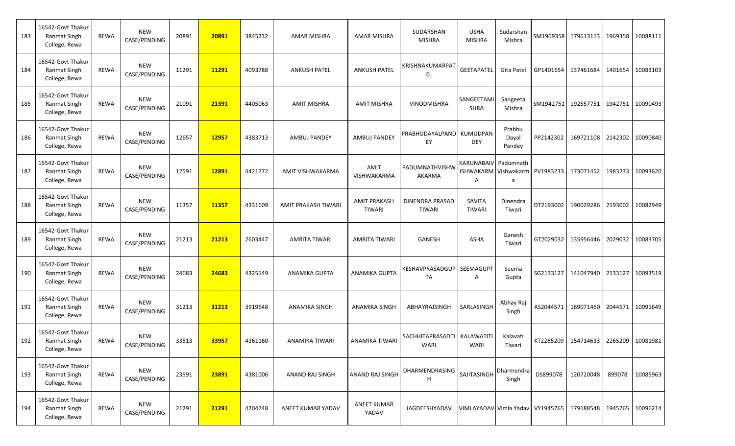| 183 | 16542-Govt Thakur<br><b>Ranmat Singh</b><br>College, Rewa | <b>REWA</b> | <b>NEW</b><br>CASE/PENDING | 20891 | 20891 | 3845232 | AMAR MISHRA          | <b>AMAR MISHRA</b>                   | SUDARSHAN<br><b>MISHRA</b>            | <b>USHA</b><br><b>MISHRA</b>                   | Sudarshan<br>Mishra                                                   |                     | SM1969358 179613113   |         | 1969358 10088111   |
|-----|-----------------------------------------------------------|-------------|----------------------------|-------|-------|---------|----------------------|--------------------------------------|---------------------------------------|------------------------------------------------|-----------------------------------------------------------------------|---------------------|-----------------------|---------|--------------------|
| 184 | 16542-Govt Thakur<br>Ranmat Singh<br>College, Rewa        | <b>REWA</b> | <b>NEW</b><br>CASE/PENDING | 11291 | 11291 | 4093788 | <b>ANKUSH PATEL</b>  | <b>ANKUSH PATEL</b>                  | KRISHNAKUMARPAT<br>EL                 | <b>GEETAPATEL</b>                              | Gita Patel                                                            |                     | GP1401654 137461684   |         | 1401654   10083103 |
| 185 | 16542-Govt Thakur<br><b>Ranmat Singh</b><br>College, Rewa | <b>REWA</b> | <b>NEW</b><br>CASE/PENDING | 21091 | 21391 | 4405063 | <b>AMIT MISHRA</b>   | <b>AMIT MISHRA</b>                   | <b>VINODMISHRA</b>                    | SANGEETAM<br><b>SHRA</b>                       | Sangeeta<br>Mishra                                                    | SM1942751 192557751 |                       |         | 1942751 10090493   |
| 186 | 16542-Govt Thakur<br>Ranmat Singh<br>College, Rewa        | <b>REWA</b> | <b>NEW</b><br>CASE/PENDING | 12657 | 12957 | 4383713 | AMBUJ PANDEY         | <b>AMBUJ PANDEY</b>                  | PRABHUDAYALPAND I<br>EY               | KUMUDPAN<br><b>DEY</b>                         | Prabhu<br>Dayal<br>Pandey                                             | PP2142302           | 169721108             |         | 2142302 10090840   |
| 187 | 16542-Govt Thakur<br><b>Ranmat Singh</b><br>College, Rewa | <b>REWA</b> | <b>NEW</b><br>CASE/PENDING | 12591 | 12891 | 4421772 | AMIT VISHWAKARMA     | AMIT<br>VISHWAKARMA                  | PADUMNATHVISHW<br>AKARMA              | A                                              | KARUNABAIV Padumnath<br>ISHWAKARM Vishwakarm PV1983233 173071452<br>a |                     |                       |         | 1983233 10093620   |
| 188 | 16542-Govt Thakur<br>Ranmat Singh<br>College, Rewa        | <b>REWA</b> | <b>NEW</b><br>CASE/PENDING | 11357 | 11357 | 4331609 | AMIT PRAKASH TIWARI  | <b>AMIT PRAKASH</b><br><b>TIWARI</b> | <b>DINENDRA PRASAD</b><br>TIWARI      | SAVITA<br><b>TIWARI</b>                        | Dinendra<br>Tiwari                                                    | DT2193002           | 190029286             | 2193002 | 10082949           |
| 189 | 16542-Govt Thakur<br><b>Ranmat Singh</b><br>College, Rewa | <b>REWA</b> | <b>NEW</b><br>CASE/PENDING | 21213 | 21213 | 2603447 | AMRITA TIWARI        | <b>AMRITA TIWARI</b>                 | <b>GANESH</b>                         | ASHA                                           | Ganesh<br>Tiwari                                                      | GT2029032           | 135956446             |         | 2029032   10083705 |
| 190 | 16542-Govt Thakur<br>Ranmat Singh<br>College, Rewa        | <b>REWA</b> | <b>NEW</b><br>CASE/PENDING | 24683 | 24683 | 4325149 | <b>ANAMIKA GUPTA</b> | <b>ANAMIKA GUPTA</b>                 | KESHAVPRASADGUP<br>TA                 | SEEMAGUPT<br>Α                                 | Seema<br>Gupta                                                        |                     | SG2133127   141047940 |         | 2133127 10093519   |
| 191 | 16542-Govt Thakur<br><b>Ranmat Singh</b><br>College, Rewa | <b>REWA</b> | <b>NEW</b><br>CASE/PENDING | 31213 | 31213 | 3919648 | ANAMIKA SINGH        | <b>ANAMIKA SINGH</b>                 | ABHAYRAJSINGH                         | SARLASINGH                                     | Abhay Raj<br>Singh                                                    |                     | AS2044571 169071460   |         | 2044571 10091649   |
| 192 | 16542-Govt Thakur<br>Ranmat Singh<br>College, Rewa        | <b>REWA</b> | NEW<br>CASE/PENDING        | 33513 | 33957 | 4361160 | ANAMIKA TIWARI       | <b>ANAMIKA TIWARI</b>                | SACHHITAPRASADTI   KALAWATITI<br>WARI | WARI                                           | Kalavati<br>Tiwari                                                    |                     | KT2265209 154714633   |         | 2265209 10081981   |
| 193 | 16542-Govt Thakur<br><b>Ranmat Singh</b><br>College, Rewa | REWA        | <b>NEW</b><br>CASE/PENDING | 23591 | 23891 | 4381006 | ANAND RAJ SINGH      | ANAND RAJ SINGH                      | DHARMENDRASING<br>Н                   | SAJITASINGH                                    | Dharmendra<br>Singh                                                   | DS899078            | 120720048             | 899078  | 10085963           |
| 194 | 16542-Govt Thakur<br><b>Ranmat Singh</b><br>College, Rewa | REWA        | <b>NEW</b><br>CASE/PENDING | 21291 | 21291 | 4204748 | ANEET KUMAR YADAV    | <b>ANEET KUMAR</b><br>YADAV          | JAGDEESHYADAV                         | VIMLAYADAV Vimla Yadav   VY1945765   179188548 |                                                                       |                     |                       |         | 1945765 10096214   |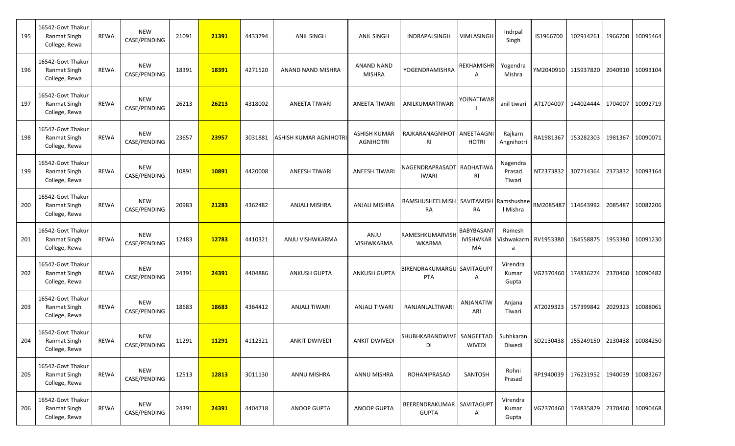| 195 | 16542-Govt Thakur<br><b>Ranmat Singh</b><br>College, Rewa | <b>REWA</b> | <b>NEW</b><br>CASE/PENDING | 21091 | 21391 | 4433794 | <b>ANIL SINGH</b>     | <b>ANIL SINGH</b>                       | INDRAPALSINGH                             | VIMLASINGH                           | Indrpal<br>Singh             | IS1966700 | 102914261                                  | 1966700 | 10095464 |
|-----|-----------------------------------------------------------|-------------|----------------------------|-------|-------|---------|-----------------------|-----------------------------------------|-------------------------------------------|--------------------------------------|------------------------------|-----------|--------------------------------------------|---------|----------|
| 196 | 16542-Govt Thakur<br>Ranmat Singh<br>College, Rewa        | <b>REWA</b> | <b>NEW</b><br>CASE/PENDING | 18391 | 18391 | 4271520 | ANAND NAND MISHRA     | <b>ANAND NAND</b><br><b>MISHRA</b>      | <b>YOGENDRAMISHRA</b>                     | <b>REKHAMISHR</b><br>A               | Yogendra<br>Mishra           |           | YM2040910 115937820                        | 2040910 | 10093104 |
| 197 | 16542-Govt Thakur<br><b>Ranmat Singh</b><br>College, Rewa | <b>REWA</b> | <b>NEW</b><br>CASE/PENDING | 26213 | 26213 | 4318002 | <b>ANEETA TIWARI</b>  | ANEETA TIWARI                           | ANILKUMARTIWARI                           | YOJNATIWAR                           | anil tiwari                  | AT1704007 | 144024444                                  | 1704007 | 10092719 |
| 198 | 16542-Govt Thakur<br><b>Ranmat Singh</b><br>College, Rewa | <b>REWA</b> | <b>NEW</b><br>CASE/PENDING | 23657 | 23957 | 3031881 | ASHISH KUMAR AGNIHOTR | <b>ASHISH KUMAR</b><br><b>AGNIHOTRI</b> | RAJKARANAGNIHOT ANEETAAGN<br>RI           | <b>HOTRI</b>                         | Rajkarn<br>Angnihotri        | RA1981367 | 153282303                                  | 1981367 | 10090071 |
| 199 | 16542-Govt Thakur<br>Ranmat Singh<br>College, Rewa        | <b>REWA</b> | <b>NEW</b><br>CASE/PENDING | 10891 | 10891 | 4420008 | <b>ANEESH TIWARI</b>  | <b>ANEESH TIWARI</b>                    | NAGENDRAPRASADT RADHATIWA<br><b>IWARI</b> | RI                                   | Nagendra<br>Prasad<br>Tiwari | NT2373832 | 307714364                                  | 2373832 | 10093164 |
| 200 | 16542-Govt Thakur<br>Ranmat Singh<br>College, Rewa        | <b>REWA</b> | <b>NEW</b><br>CASE/PENDING | 20983 | 21283 | 4362482 | <b>ANJALI MISHRA</b>  | <b>ANJALI MISHRA</b>                    | RAMSHUSHEELMISH SAVITAMISH<br><b>RA</b>   | <b>RA</b>                            | Ramshushee<br>I Mishra       | RM2085487 | 114643992                                  | 2085487 | 10082206 |
| 201 | 16542-Govt Thakur<br><b>Ranmat Singh</b><br>College, Rewa | <b>REWA</b> | <b>NEW</b><br>CASE/PENDING | 12483 | 12783 | 4410321 | ANJU VISHWKARMA       | ANJU<br>VISHWKARMA                      | RAMESHKUMARVISH<br>WKARMA                 | BABYBASANT<br><b>IVISHWKAR</b><br>MA | Ramesh<br>Vishwakarm<br>a    | RV1953380 | 184558875                                  | 1953380 | 10091230 |
| 202 | 16542-Govt Thakur<br>Ranmat Singh<br>College, Rewa        | <b>REWA</b> | <b>NEW</b><br>CASE/PENDING | 24391 | 24391 | 4404886 | <b>ANKUSH GUPTA</b>   | <b>ANKUSH GUPTA</b>                     | BIRENDRAKUMARGU SAVITAGUPT<br><b>PTA</b>  | Α                                    | Virendra<br>Kumar<br>Gupta   | VG2370460 | 174836274                                  | 2370460 | 10090482 |
| 203 | 16542-Govt Thakur<br><b>Ranmat Singh</b><br>College, Rewa | <b>REWA</b> | <b>NEW</b><br>CASE/PENDING | 18683 | 18683 | 4364412 | ANJALI TIWARI         | <b>ANJALI TIWARI</b>                    | RANJANLALTIWARI                           | ANJANATIW<br>ARI                     | Anjana<br>Tiwari             | AT2029323 | 157399842                                  | 2029323 | 10088061 |
| 204 | 16542-Govt Thakur<br>Ranmat Singh<br>College, Rewa        | REWA        | <b>NEW</b><br>CASE/PENDING | 11291 | 11291 | 4112321 | <b>ANKIT DWIVEDI</b>  | <b>ANKIT DWIVED!</b>                    | SHUBHKARANDWIVE SANGEETAD<br>DI           | WIVEDI                               | Subhkaran<br>Diwedi          |           | SD2130438   155249150   2130438   10084250 |         |          |
| 205 | 16542-Govt Thakur<br>Ranmat Singh<br>College, Rewa        | REWA        | <b>NEW</b><br>CASE/PENDING | 12513 | 12813 | 3011130 | ANNU MISHRA           | ANNU MISHRA                             | <b>ROHANIPRASAD</b>                       | SANTOSH                              | Rohni<br>Prasad              | RP1940039 | 176231952                                  | 1940039 | 10083267 |
| 206 | 16542-Govt Thakur<br><b>Ranmat Singh</b><br>College, Rewa | <b>REWA</b> | <b>NEW</b><br>CASE/PENDING | 24391 | 24391 | 4404718 | <b>ANOOP GUPTA</b>    | <b>ANOOP GUPTA</b>                      | BEERENDRAKUMAR SAVITAGUPT<br><b>GUPTA</b> | Α                                    | Virendra<br>Kumar<br>Gupta   |           | VG2370460   174835829   2370460   10090468 |         |          |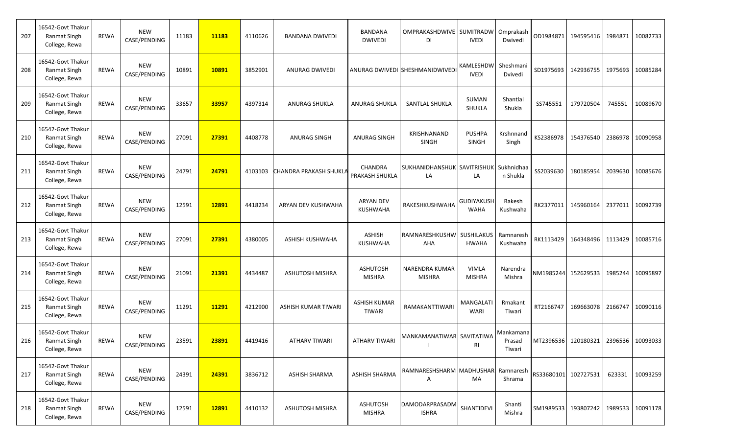| 207 | 16542-Govt Thakur<br>Ranmat Singh<br>College, Rewa        | <b>REWA</b> | <b>NEW</b><br>CASE/PENDING | 11183 | 11183 | 4110626 | <b>BANDANA DWIVEDI</b> | BANDANA<br><b>DWIVEDI</b>            | OMPRAKASHDWIVE SUMITRADW<br>DI    | <b>IVEDI</b>                     | Omprakash<br>Dwivedi          |           | OD1984871 194595416  |         | 1984871 10082733 |
|-----|-----------------------------------------------------------|-------------|----------------------------|-------|-------|---------|------------------------|--------------------------------------|-----------------------------------|----------------------------------|-------------------------------|-----------|----------------------|---------|------------------|
| 208 | 16542-Govt Thakur<br><b>Ranmat Singh</b><br>College, Rewa | <b>REWA</b> | <b>NEW</b><br>CASE/PENDING | 10891 | 10891 | 3852901 | <b>ANURAG DWIVEDI</b>  |                                      | ANURAG DWIVEDI SHESHMANIDWIVEDI   | KAMLESHDW<br><b>IVEDI</b>        | Sheshmani<br>Dvivedi          |           | SD1975693 142936755  |         | 1975693 10085284 |
| 209 | 16542-Govt Thakur<br><b>Ranmat Singh</b><br>College, Rewa | <b>REWA</b> | <b>NEW</b><br>CASE/PENDING | 33657 | 33957 | 4397314 | <b>ANURAG SHUKLA</b>   | ANURAG SHUKLA                        | SANTLAL SHUKLA                    | SUMAN<br>SHUKLA                  | Shantlal<br>Shukla            | SS745551  | 179720504            | 745551  | 10089670         |
| 210 | 16542-Govt Thakur<br>Ranmat Singh<br>College, Rewa        | <b>REWA</b> | <b>NEW</b><br>CASE/PENDING | 27091 | 27391 | 4408778 | <b>ANURAG SINGH</b>    | ANURAG SINGH                         | KRISHNANAND<br><b>SINGH</b>       | <b>PUSHPA</b><br><b>SINGH</b>    | Krshnnand<br>Singh            | KS2386978 | 154376540            |         | 2386978 10090958 |
| 211 | 16542-Govt Thakur<br><b>Ranmat Singh</b><br>College, Rewa | <b>REWA</b> | <b>NEW</b><br>CASE/PENDING | 24791 | 24791 | 4103103 | CHANDRA PRAKASH SHUKLA | <b>CHANDRA</b><br>PRAKASH SHUKLA     | SUKHANIDHANSHUK SAVITRISHUK<br>LA | LA                               | Sukhnidhaa<br>n Shukla        | SS2039630 | 180185954            | 2039630 | 10085676         |
| 212 | 16542-Govt Thakur<br><b>Ranmat Singh</b><br>College, Rewa | <b>REWA</b> | <b>NEW</b><br>CASE/PENDING | 12591 | 12891 | 4418234 | ARYAN DEV KUSHWAHA     | <b>ARYAN DEV</b><br><b>KUSHWAHA</b>  | RAKESHKUSHWAHA                    | <b>GUDIYAKUSH</b><br><b>WAHA</b> | Rakesh<br>Kushwaha            | RK2377011 | 145960164            |         | 2377011 10092739 |
| 213 | 16542-Govt Thakur<br><b>Ranmat Singh</b><br>College, Rewa | <b>REWA</b> | <b>NEW</b><br>CASE/PENDING | 27091 | 27391 | 4380005 | ASHISH KUSHWAHA        | <b>ASHISH</b><br><b>KUSHWAHA</b>     | <b>RAMNARESHKUSHW</b><br>AHA      | SUSHILAKUS<br><b>HWAHA</b>       | Ramnaresh<br>Kushwaha         | RK1113429 | 164348496            | 1113429 | 10085716         |
| 214 | 16542-Govt Thakur<br><b>Ranmat Singh</b><br>College, Rewa | <b>REWA</b> | <b>NEW</b><br>CASE/PENDING | 21091 | 21391 | 4434487 | <b>ASHUTOSH MISHRA</b> | <b>ASHUTOSH</b><br><b>MISHRA</b>     | NARENDRA KUMAR<br><b>MISHRA</b>   | <b>VIMLA</b><br><b>MISHRA</b>    | Narendra<br>Mishra            |           | NM1985244 152629533  |         | 1985244 10095897 |
| 215 | 16542-Govt Thakur<br>Ranmat Singh<br>College, Rewa        | <b>REWA</b> | <b>NEW</b><br>CASE/PENDING | 11291 | 11291 | 4212900 | ASHISH KUMAR TIWARI    | <b>ASHISH KUMAR</b><br><b>TIWARI</b> | RAMAKANTTIWARI                    | <b>MANGALATI</b><br>WARI         | Rmakant<br>Tiwari             | RT2166747 | 169663078            |         | 2166747 10090116 |
| 216 | 16542-Govt Thakur<br><b>Ranmat Singh</b><br>College, Rewa | <b>REWA</b> | <b>NEW</b><br>CASE/PENDING | 23591 | 23891 | 4419416 | <b>ATHARV TIWARI</b>   | <b>ATHARV TIWARI</b>                 | MANKAMANATIWAR SAVITATIWA         | RI                               | Mankamana<br>Prasad<br>Tiwari |           | MT2396536 120180321  |         | 2396536 10093033 |
| 217 | 16542-Govt Thakur<br><b>Ranmat Singh</b><br>College, Rewa | REWA        | <b>NEW</b><br>CASE/PENDING | 24391 | 24391 | 3836712 | <b>ASHISH SHARMA</b>   | <b>ASHISH SHARMA</b>                 | RAMNARESHSHARM MADHUSHAR<br>Α     | MA                               | Ramnaresh<br>Shrama           |           | RS33680101 102727531 | 623331  | 10093259         |
| 218 | 16542-Govt Thakur<br>Ranmat Singh<br>College, Rewa        | REWA        | <b>NEW</b><br>CASE/PENDING | 12591 | 12891 | 4410132 | <b>ASHUTOSH MISHRA</b> | <b>ASHUTOSH</b><br><b>MISHRA</b>     | DAMODARPRASADM<br><b>ISHRA</b>    | SHANTIDEVI                       | Shanti<br>Mishra              |           | SM1989533 193807242  |         | 1989533 10091178 |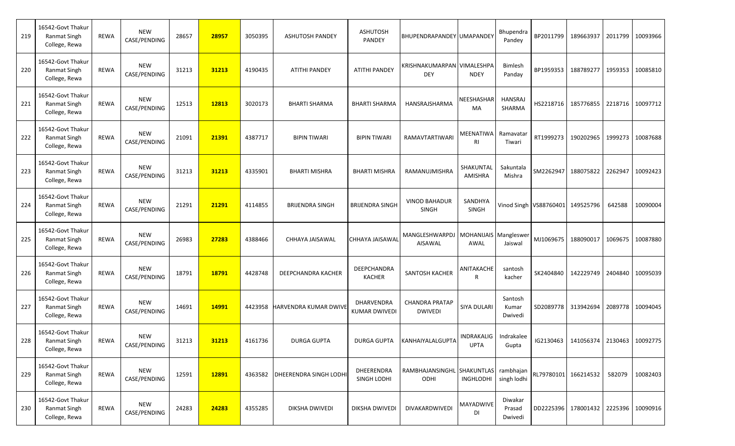| 219 | 16542-Govt Thakur<br>Ranmat Singh<br>College, Rewa        | <b>REWA</b> | <b>NEW</b><br>CASE/PENDING | 28657 | 28957 | 3050395 | <b>ASHUTOSH PANDEY</b>       | <b>ASHUTOSH</b><br>PANDEY          | BHUPENDRAPANDEY UMAPANDEY                           |                           | <b>Bhupendra</b><br>Pandey   |                                  | BP2011799 189663937   |         | 2011799 10093966 |
|-----|-----------------------------------------------------------|-------------|----------------------------|-------|-------|---------|------------------------------|------------------------------------|-----------------------------------------------------|---------------------------|------------------------------|----------------------------------|-----------------------|---------|------------------|
| 220 | 16542-Govt Thakur<br>Ranmat Singh<br>College, Rewa        | <b>REWA</b> | <b>NEW</b><br>CASE/PENDING | 31213 | 31213 | 4190435 | <b>ATITHI PANDEY</b>         | <b>ATITHI PANDEY</b>               | KRISHNAKUMARPAN VIMALESHPA<br><b>DEY</b>            | <b>NDEY</b>               | <b>Bimlesh</b><br>Panday     |                                  | BP1959353 188789277   |         | 1959353 10085810 |
| 221 | 16542-Govt Thakur<br><b>Ranmat Singh</b><br>College, Rewa | <b>REWA</b> | <b>NEW</b><br>CASE/PENDING | 12513 | 12813 | 3020173 | <b>BHARTI SHARMA</b>         | <b>BHARTI SHARMA</b>               | HANSRAJSHARMA                                       | NEESHASHAR<br>MA          | <b>HANSRAJ</b><br>SHARMA     | HS2218716                        | 185776855             |         | 2218716 10097712 |
| 222 | 16542-Govt Thakur<br>Ranmat Singh<br>College, Rewa        | <b>REWA</b> | <b>NEW</b><br>CASE/PENDING | 21091 | 21391 | 4387717 | <b>BIPIN TIWARI</b>          | <b>BIPIN TIWARI</b>                | RAMAVTARTIWARI                                      | MEENATIWA<br>RI           | Ramavatar<br>Tiwari          | RT1999273                        | 190202965             |         | 1999273 10087688 |
| 223 | 16542-Govt Thakur<br><b>Ranmat Singh</b><br>College, Rewa | <b>REWA</b> | <b>NEW</b><br>CASE/PENDING | 31213 | 31213 | 4335901 | <b>BHARTI MISHRA</b>         | <b>BHARTI MISHRA</b>               | RAMANUJMISHRA                                       | SHAKUNTAL<br>AMISHRA      | Sakuntala<br>Mishra          | SM2262947                        | 188075822             | 2262947 | 10092423         |
| 224 | 16542-Govt Thakur<br>Ranmat Singh<br>College, Rewa        | <b>REWA</b> | <b>NEW</b><br>CASE/PENDING | 21291 | 21291 | 4114855 | <b>BRIJENDRA SINGH</b>       | <b>BRIJENDRA SINGH</b>             | <b>VINOD BAHADUR</b><br><b>SINGH</b>                | SANDHYA<br>SINGH          |                              | Vinod Singh VS88760401 149525796 |                       | 642588  | 10090004         |
| 225 | 16542-Govt Thakur<br><b>Ranmat Singh</b><br>College, Rewa | <b>REWA</b> | <b>NEW</b><br>CASE/PENDING | 26983 | 27283 | 4388466 | CHHAYA JAISAWAL              | CHHAYA JAISAWAL                    | MANGLESHWARPDJ   MOHANIJAIS   Mangleswer<br>AISAWAL | AWAL                      | Jaiswal                      | MJ1069675                        | 188090017             | 1069675 | 10087880         |
| 226 | 16542-Govt Thakur<br>Ranmat Singh<br>College, Rewa        | <b>REWA</b> | <b>NEW</b><br>CASE/PENDING | 18791 | 18791 | 4428748 | DEEPCHANDRA KACHER           | DEEPCHANDRA<br><b>KACHER</b>       | SANTOSH KACHER                                      | ANITAKACHE<br>R           | santosh<br>kacher            | SK2404840                        | 142229749             | 2404840 | 10095039         |
| 227 | 16542-Govt Thakur<br><b>Ranmat Singh</b><br>College, Rewa | <b>REWA</b> | <b>NEW</b><br>CASE/PENDING | 14691 | 14991 | 4423958 | <b>HARVENDRA KUMAR DWIVE</b> | DHARVENDRA<br><b>KUMAR DWIVEDI</b> | <b>CHANDRA PRATAP</b><br><b>DWIVEDI</b>             | SIYA DULARI               | Santosh<br>Kumar<br>Dwivedi  |                                  | SD2089778 313942694   |         | 2089778 10094045 |
| 228 | 16542-Govt Thakur<br>Ranmat Singh<br>College, Rewa        | <b>REWA</b> | <b>NEW</b><br>CASE/PENDING | 31213 | 31213 | 4161736 | <b>DURGA GUPTA</b>           | <b>DURGA GUPTA</b>                 | KANHAIYALALGUPTA                                    | INDRAKALIG<br><b>UPTA</b> | Indrakalee<br>Gupta          |                                  | IG2130463   141056374 |         | 2130463 10092775 |
| 229 | 16542-Govt Thakur<br><b>Ranmat Singh</b><br>College, Rewa | REWA        | <b>NEW</b><br>CASE/PENDING | 12591 | 12891 | 4363582 | <b>DHEERENDRA SINGH LODH</b> | DHEERENDRA<br>SINGH LODHI          | RAMBHAJANSINGHL SHAKUNTLAS<br>ODHI                  | INGHLODHI                 | rambhajan<br>singh lodhi     |                                  | RL79780101 166214532  | 582079  | 10082403         |
| 230 | 16542-Govt Thakur<br><b>Ranmat Singh</b><br>College, Rewa | <b>REWA</b> | <b>NEW</b><br>CASE/PENDING | 24283 | 24283 | 4355285 | <b>DIKSHA DWIVEDI</b>        | DIKSHA DWIVEDI                     | DIVAKARDWIVEDI                                      | MAYADWIVE<br>DI           | Diwakar<br>Prasad<br>Dwivedi |                                  | DD2225396 178001432   |         | 2225396 10090916 |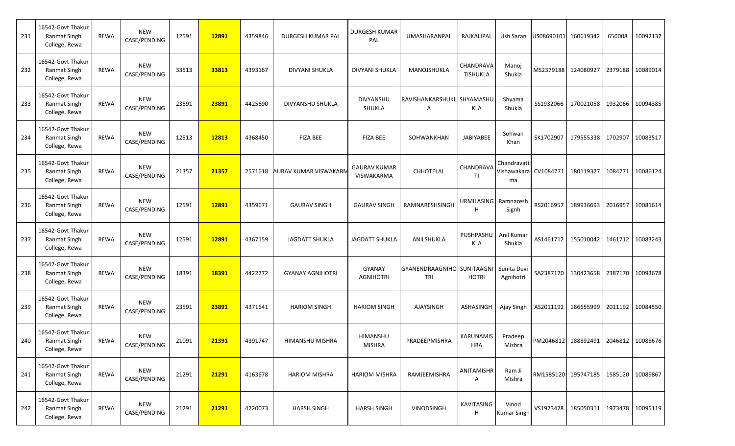| 231 | 16542-Govt Thakur<br>Ranmat Singh<br>College, Rewa        | <b>REWA</b> | <b>NEW</b><br>CASE/PENDING | 12591 | 12891 | 4359846 | <b>DURGESH KUMAR PAL</b>     | <b>DURGESH KUMAR</b><br>PAL       | UMASHARANPAL                      | RAJKALIPAL                     | Ush Saran                   | US08690101 160619342  |                                            | 650008  | 10092137         |
|-----|-----------------------------------------------------------|-------------|----------------------------|-------|-------|---------|------------------------------|-----------------------------------|-----------------------------------|--------------------------------|-----------------------------|-----------------------|--------------------------------------------|---------|------------------|
| 232 | 16542-Govt Thakur<br><b>Ranmat Singh</b><br>College, Rewa | <b>REWA</b> | <b>NEW</b><br>CASE/PENDING | 33513 | 33813 | 4393167 | DIVYANI SHUKLA               | DIVYANI SHUKLA                    | MANOJSHUKLA                       | CHANDRAVA<br><b>TISHUKLA</b>   | Manoj<br>Shukla             | MS2379188 124080927   |                                            | 2379188 | 10089014         |
| 233 | 16542-Govt Thakur<br><b>Ranmat Singh</b><br>College, Rewa | <b>REWA</b> | <b>NEW</b><br>CASE/PENDING | 23591 | 23891 | 4425690 | DIVYANSHU SHUKLA             | <b>DIVYANSHU</b><br>SHUKLA        | RAVISHANKARSHUKL SHYAMASHL<br>Α   | <b>KLA</b>                     | Shyama<br>Shukla            | SS1932066             | 170021058                                  | 1932066 | 10094385         |
| 234 | 16542-Govt Thakur<br>Ranmat Singh<br>College, Rewa        | <b>REWA</b> | <b>NEW</b><br>CASE/PENDING | 12513 | 12813 | 4368450 | <b>FIZA BEE</b>              | <b>FIZA BEE</b>                   | SOHWANKHAN                        | JABIYABEE                      | Sohwan<br>Khan              | SK1702907             | 179555338                                  | 1702907 | 10083517         |
| 235 | 16542-Govt Thakur<br>Ranmat Singh<br>College, Rewa        | <b>REWA</b> | <b>NEW</b><br>CASE/PENDING | 21357 | 21357 | 2571618 | <b>AURAV KUMAR VISWAKARN</b> | <b>GAURAV KUMAR</b><br>VISWAKARMA | CHHOTELAL                         | CHANDRAVA<br>ΤI                | Chandravati<br>ma           | Vishawakara CV1084771 | 180119327                                  | 1084771 | 10086124         |
| 236 | 16542-Govt Thakur<br>Ranmat Singh<br>College, Rewa        | <b>REWA</b> | <b>NEW</b><br>CASE/PENDING | 12591 | 12891 | 4359671 | <b>GAURAV SINGH</b>          | <b>GAURAV SINGH</b>               | RAMNARESHSINGH                    | URMILASING Ramnaresh<br>Н      | Signh                       | RS2016957             | 189936693                                  | 2016957 | 10081614         |
| 237 | 16542-Govt Thakur<br><b>Ranmat Singh</b><br>College, Rewa | <b>REWA</b> | <b>NEW</b><br>CASE/PENDING | 12591 | 12891 | 4367159 | <b>JAGDATT SHUKLA</b>        | <b>JAGDATT SHUKLA</b>             | ANILSHUKLA                        | PUSHPASHU<br><b>KLA</b>        | Anil Kumar<br>Shukla        | AS1461712             | 155010042                                  | 1461712 | 10083243         |
| 238 | 16542-Govt Thakur<br>Ranmat Singh<br>College, Rewa        | <b>REWA</b> | <b>NEW</b><br>CASE/PENDING | 18391 | 18391 | 4422772 | <b>GYANAY AGNIHOTRI</b>      | GYANAY<br><b>AGNIHOTRI</b>        | GYANENDRAAGNIHO SUNITAAGNI<br>TRI | <b>HOTRI</b>                   | Sunita Devi<br>Agnihotri    | SA2387170             | 130423658                                  | 2387170 | 10093678         |
| 239 | 16542-Govt Thakur<br><b>Ranmat Singh</b><br>College, Rewa | <b>REWA</b> | <b>NEW</b><br>CASE/PENDING | 23591 | 23891 | 4371641 | <b>HARIOM SINGH</b>          | <b>HARIOM SINGH</b>               | AJAYSINGH                         | ASHASINGH                      | Ajay Singh                  | AS2011192             | 186655999                                  | 2011192 | 10084550         |
| 240 | 16542-Govt Thakur<br><b>Ranmat Singh</b><br>College, Rewa | REWA        | <b>NEW</b><br>CASE/PENDING | 21091 | 21391 | 4391747 | HIMANSHU MISHRA              | <b>HIMANSHU</b><br><b>MISHRA</b>  | PRADEEPMISHRA                     | <b>KARUNAMIS</b><br><b>HRA</b> | Pradeep<br>Mishra           |                       | PM2046812 188892491                        | 2046812 | 10088676         |
| 241 | 16542-Govt Thakur<br>Ranmat Singh<br>College, Rewa        | REWA        | <b>NEW</b><br>CASE/PENDING | 21291 | 21291 | 4163678 | <b>HARIOM MISHRA</b>         | <b>HARIOM MISHRA</b>              | RAMJEEMISHRA                      | ANITAMISHR<br>Α                | Ram Ji<br>Mishra            |                       | RM1585120 195747185                        |         | 1585120 10089867 |
| 242 | 16542-Govt Thakur<br>Ranmat Singh<br>College, Rewa        | <b>REWA</b> | <b>NEW</b><br>CASE/PENDING | 21291 | 21291 | 4220073 | <b>HARSH SINGH</b>           | <b>HARSH SINGH</b>                | <b>VINODSINGH</b>                 | KAVITASING<br>н                | Vinod<br><b>Kumar Singh</b> |                       | VS1973478   185050311   1973478   10095119 |         |                  |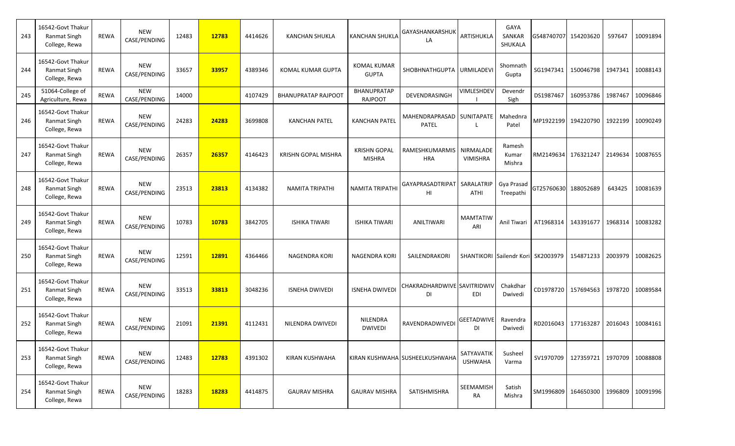| 243 | 16542-Govt Thakur<br>Ranmat Singh<br>College, Rewa        | <b>REWA</b> | <b>NEW</b><br>CASE/PENDING | 12483 | 12783 | 4414626 | <b>KANCHAN SHUKLA</b>      | <b>KANCHAN SHUKLA</b>                | GAYASHANKARSHUK<br>LA                     | ARTISHUKLA                   | GAYA<br>SANKAR<br>SHUKALA          |           | GS48740707 154203620 | 597647  | 10091894 |
|-----|-----------------------------------------------------------|-------------|----------------------------|-------|-------|---------|----------------------------|--------------------------------------|-------------------------------------------|------------------------------|------------------------------------|-----------|----------------------|---------|----------|
| 244 | 16542-Govt Thakur<br>Ranmat Singh<br>College, Rewa        | <b>REWA</b> | <b>NEW</b><br>CASE/PENDING | 33657 | 33957 | 4389346 | KOMAL KUMAR GUPTA          | <b>KOMAL KUMAR</b><br><b>GUPTA</b>   | SHOBHNATHGUPTA URMILADEVI                 |                              | Shomnath<br>Gupta                  | SG1947341 | 150046798            | 1947341 | 10088143 |
| 245 | 51064-College of<br>Agriculture, Rewa                     | <b>REWA</b> | <b>NEW</b><br>CASE/PENDING | 14000 |       | 4107429 | <b>BHANUPRATAP RAJPOOT</b> | BHANUPRATAP<br>RAJPOOT               | DEVENDRASINGH                             | <b>VIMLESHDE\</b>            | Devendr<br>Sigh                    | DS1987467 | 160953786            | 1987467 | 10096846 |
| 246 | 16542-Govt Thakur<br><b>Ranmat Singh</b><br>College, Rewa | <b>REWA</b> | <b>NEW</b><br>CASE/PENDING | 24283 | 24283 | 3699808 | <b>KANCHAN PATEL</b>       | <b>KANCHAN PATEL</b>                 | MAHENDRAPRASAD SUNITAPATE<br><b>PATEL</b> |                              | Mahednra<br>Patel                  |           | MP1922199 194220790  | 1922199 | 10090249 |
| 247 | 16542-Govt Thakur<br>Ranmat Singh<br>College, Rewa        | <b>REWA</b> | <b>NEW</b><br>CASE/PENDING | 26357 | 26357 | 4146423 | KRISHN GOPAL MISHRA        | <b>KRISHN GOPAL</b><br><b>MISHRA</b> | RAMESHKUMARMIS<br><b>HRA</b>              | NIRMALADE<br><b>VIMISHRA</b> | Ramesh<br>Kumar<br>Mishra          |           | RM2149634 176321247  | 2149634 | 10087655 |
| 248 | 16542-Govt Thakur<br><b>Ranmat Singh</b><br>College, Rewa | <b>REWA</b> | <b>NEW</b><br>CASE/PENDING | 23513 | 23813 | 4134382 | <b>NAMITA TRIPATHI</b>     | <b>NAMITA TRIPATHI</b>               | GAYAPRASADTRIPAT   SARALATRIP<br>HI       | ATHI                         | Gya Prasad<br>Treepathi            |           | GT25760630 188052689 | 643425  | 10081639 |
| 249 | 16542-Govt Thakur<br><b>Ranmat Singh</b><br>College, Rewa | <b>REWA</b> | <b>NEW</b><br>CASE/PENDING | 10783 | 10783 | 3842705 | <b>ISHIKA TIWARI</b>       | <b>ISHIKA TIWARI</b>                 | ANILTIWARI                                | <b>MAMTATIW</b><br>ARI       | Anil Tiwari                        | AT1968314 | 143391677            | 1968314 | 10083282 |
| 250 | 16542-Govt Thakur<br><b>Ranmat Singh</b><br>College, Rewa | <b>REWA</b> | <b>NEW</b><br>CASE/PENDING | 12591 | 12891 | 4364466 | NAGENDRA KORI              | <b>NAGENDRA KORI</b>                 | SAILENDRAKORI                             |                              | SHANTIKORI Sailendr Kori SK2003979 |           | 154871233            | 2003979 | 10082625 |
| 251 | 16542-Govt Thakur<br>Ranmat Singh<br>College, Rewa        | <b>REWA</b> | <b>NEW</b><br>CASE/PENDING | 33513 | 33813 | 3048236 | <b>ISNEHA DWIVEDI</b>      | <b>ISNEHA DWIVEDI</b>                | CHAKRADHARDWIVE SAVITRIDWIV<br>DI         | <b>EDI</b>                   | Chakdhar<br>Dwivedi                |           | CD1978720 157694563  | 1978720 | 10089584 |
| 252 | 16542-Govt Thakur<br>Ranmat Singh<br>College, Rewa        | <b>REWA</b> | <b>NEW</b><br>CASE/PENDING | 21091 | 21391 | 4112431 | NILENDRA DWIVEDI           | NILENDRA<br><b>DWIVEDI</b>           | RAVENDRADWIVEDI                           | <b>GEETADWIVE</b><br>DI      | Ravendra<br>Dwivedi                | RD2016043 | 177163287            | 2016043 | 10084161 |
| 253 | 16542-Govt Thakur<br>Ranmat Singh<br>College, Rewa        | REWA        | <b>NEW</b><br>CASE/PENDING | 12483 | 12783 | 4391302 | KIRAN KUSHWAHA             |                                      | KIRAN KUSHWAHA SUSHEELKUSHWAHA            | SATYAVATIK<br><b>USHWAHA</b> | Susheel<br>Varma                   | SV1970709 | 127359721            | 1970709 | 10088808 |
| 254 | 16542-Govt Thakur<br>Ranmat Singh<br>College, Rewa        | REWA        | NEW<br>CASE/PENDING        | 18283 | 18283 | 4414875 | <b>GAURAV MISHRA</b>       | <b>GAURAV MISHRA</b>                 | SATISHMISHRA                              | SEEMAMISH<br>RA              | Satish<br>Mishra                   |           | SM1996809 164650300  | 1996809 | 10091996 |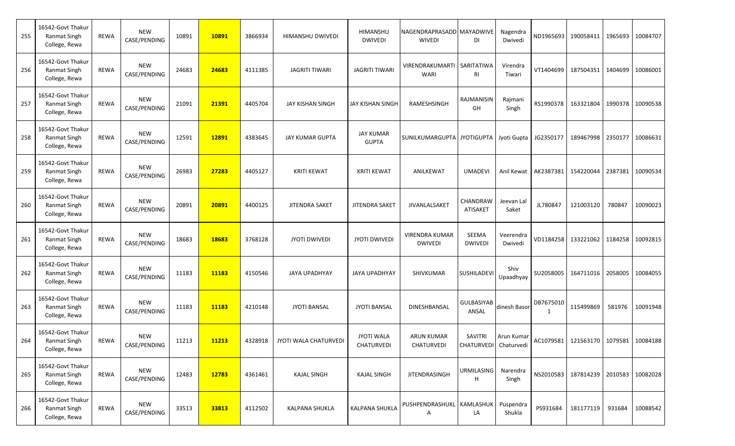| 255 | 16542-Govt Thakur<br>Ranmat Singh<br>College, Rewa        | <b>REWA</b> | <b>NEW</b><br>CASE/PENDING | 10891 | 10891 | 3866934 | HIMANSHU DWIVEDI        | HIMANSHU<br><b>DWIVEDI</b>       | NAGENDRAPRASADD MAYADWIVE<br><b>WIVEDI</b> | <b>DI</b>                        | Nagendra<br>Dwivedi  |                | ND1965693 190058411 | 1965693 | 10084707         |
|-----|-----------------------------------------------------------|-------------|----------------------------|-------|-------|---------|-------------------------|----------------------------------|--------------------------------------------|----------------------------------|----------------------|----------------|---------------------|---------|------------------|
| 256 | 16542-Govt Thakur<br>Ranmat Singh<br>College, Rewa        | <b>REWA</b> | <b>NEW</b><br>CASE/PENDING | 24683 | 24683 | 4111385 | <b>JAGRITI TIWARI</b>   | <b>JAGRITI TIWARI</b>            | VIRENDRAKUMARTI   SARITATIWA<br>WARI       | RI                               | Virendra<br>Tiwari   | VT1404699      | 187504351           | 1404699 | 10086001         |
| 257 | 16542-Govt Thakur<br><b>Ranmat Singh</b><br>College, Rewa | <b>REWA</b> | <b>NEW</b><br>CASE/PENDING | 21091 | 21391 | 4405704 | <b>JAY KISHAN SINGH</b> | JAY KISHAN SINGF                 | RAMESHSINGH                                | RAJMANISIN<br>GH                 | Rajmani<br>Singh     | RS1990378      | 163321804           | 1990378 | 10090538         |
| 258 | 16542-Govt Thakur<br><b>Ranmat Singh</b><br>College, Rewa | <b>REWA</b> | <b>NEW</b><br>CASE/PENDING | 12591 | 12891 | 4383645 | <b>JAY KUMAR GUPTA</b>  | <b>JAY KUMAR</b><br><b>GUPTA</b> | SUNILKUMARGUPTA JYOTIGUPTA Jyoti Gupta     |                                  |                      | JG2350177      | 189467998           | 2350177 | 10086631         |
| 259 | 16542-Govt Thakur<br><b>Ranmat Singh</b><br>College, Rewa | <b>REWA</b> | <b>NEW</b><br>CASE/PENDING | 26983 | 27283 | 4405127 | <b>KRITI KEWAT</b>      | <b>KRITI KEWAT</b>               | ANILKEWAT                                  | <b>UMADEVI</b>                   | Anil Kewat           | AK2387381      | 154220044           | 2387381 | 10090534         |
| 260 | 16542-Govt Thakur<br>Ranmat Singh<br>College, Rewa        | <b>REWA</b> | <b>NEW</b><br>CASE/PENDING | 20891 | 20891 | 4400125 | <b>JITENDRA SAKET</b>   | JITENDRA SAKET                   | JIVANLALSAKET                              | CHANDRAW<br>ATISAKET             | Jeevan Lal<br>Saket  | JL780847       | 121003120           | 780847  | 10090023         |
| 261 | 16542-Govt Thakur<br><b>Ranmat Singh</b><br>College, Rewa | <b>REWA</b> | <b>NEW</b><br>CASE/PENDING | 18683 | 18683 | 3768128 | <b>JYOTI DWIVEDI</b>    | <b>JYOTI DWIVEDI</b>             | <b>VIRENDRA KUMAR</b><br><b>DWIVEDI</b>    | SEEMA<br><b>DWIVEDI</b>          | Veerendra<br>Dwivedi | VD1184258      | 133221062           | 1184258 | 10092815         |
| 262 | 16542-Govt Thakur<br>Ranmat Singh<br>College, Rewa        | <b>REWA</b> | <b>NEW</b><br>CASE/PENDING | 11183 | 11183 | 4150546 | <b>JAYA UPADHYAY</b>    | JAYA UPADHYAY                    | SHIVKUMAR                                  | SUSHILADEVI                      | Shiv<br>Upaadhyay    | SU2058005      | 164711016           | 2058005 | 10084055         |
| 263 | 16542-Govt Thakur<br><b>Ranmat Singh</b><br>College, Rewa | <b>REWA</b> | <b>NEW</b><br>CASE/PENDING | 11183 | 11183 | 4210148 | <b>JYOTI BANSAL</b>     | <b>JYOTI BANSAL</b>              | DINESHBANSAL                               | GULBASIYAB<br>ANSAL              | dinesh Basor         | DB7675010<br>1 | 115499869           | 581976  | 10091948         |
| 264 | 16542-Govt Thakur<br>Ranmat Singh<br>College, Rewa        | REWA        | <b>NEW</b><br>CASE/PENDING | 11213 | 11213 | 4328918 | JYOTI WALA CHATURVEDI   | <b>JYOTI WALA</b><br>CHATURVEDI  | <b>ARUN KUMAR</b><br>CHATURVEDI            | SAVITRI<br>CHATURVEDI Chaturvedi | Arun Kumar           |                | AC1079581 121563170 |         | 1079581 10084188 |
| 265 | 16542-Govt Thakur<br>Ranmat Singh<br>College, Rewa        | REWA        | <b>NEW</b><br>CASE/PENDING | 12483 | 12783 | 4361461 | <b>KAJAL SINGH</b>      | <b>KAJAL SINGH</b>               | <b>JITENDRASINGH</b>                       | <b>URMILASING</b><br>н           | Narendra<br>Singh    | NS2010583      | 187814239           | 2010583 | 10082028         |
| 266 | 16542-Govt Thakur<br>Ranmat Singh<br>College, Rewa        | <b>REWA</b> | <b>NEW</b><br>CASE/PENDING | 33513 | 33813 | 4112502 | KALPANA SHUKLA          | <b>KALPANA SHUKLA</b>            | PUSHPENDRASHUKL KAMLASHUK<br>Α             | LA                               | Puspendra<br>Shukla  | PS931684       | 181177119 931684    |         | 10088542         |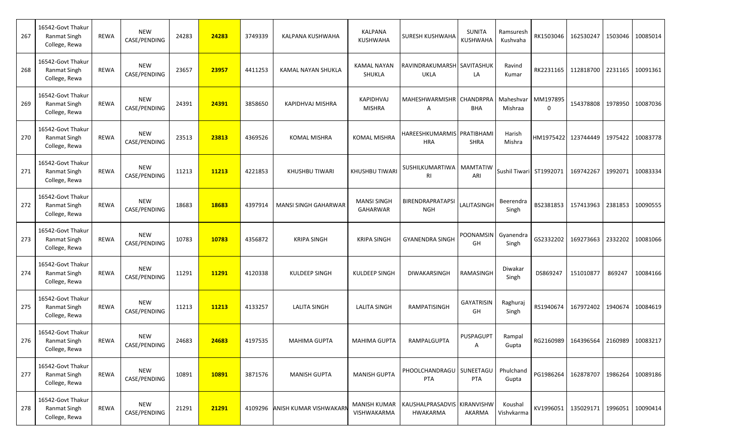| 267 | 16542-Govt Thakur<br>Ranmat Singh<br>College, Rewa        | REWA        | <b>NEW</b><br>CASE/PENDING | 24283 | 24283 | 3749339 | KALPANA KUSHWAHA               | KALPANA<br>KUSHWAHA                | SURESH KUSHWAHA                                | <b>SUNITA</b><br><b>KUSHWAHA</b> | Ramsuresh<br>Kushvaha |                         | RK1503046 162530247 | 1503046 | 10085014         |
|-----|-----------------------------------------------------------|-------------|----------------------------|-------|-------|---------|--------------------------------|------------------------------------|------------------------------------------------|----------------------------------|-----------------------|-------------------------|---------------------|---------|------------------|
| 268 | 16542-Govt Thakur<br><b>Ranmat Singh</b><br>College, Rewa | <b>REWA</b> | <b>NEW</b><br>CASE/PENDING | 23657 | 23957 | 4411253 | KAMAL NAYAN SHUKLA             | KAMAL NAYAN<br>SHUKLA              | RAVINDRAKUMARSH SAVITASHUK<br>UKLA             | LA                               | Ravind<br>Kumar       | RK2231165               | 112818700           | 2231165 | 10091361         |
| 269 | 16542-Govt Thakur<br><b>Ranmat Singh</b><br>College, Rewa | <b>REWA</b> | <b>NEW</b><br>CASE/PENDING | 24391 | 24391 | 3858650 | KAPIDHVAJ MISHRA               | <b>KAPIDHVAJ</b><br><b>MISHRA</b>  | MAHESHWARMISHR   CHANDRPRA<br>Α                | BHA                              | Maheshvar<br>Mishraa  | MM197895<br>0           | 154378808           | 1978950 | 10087036         |
| 270 | 16542-Govt Thakur<br><b>Ranmat Singh</b><br>College, Rewa | REWA        | <b>NEW</b><br>CASE/PENDING | 23513 | 23813 | 4369526 | <b>KOMAL MISHRA</b>            | <b>KOMAL MISHRA</b>                | HAREESHKUMARMIS PRATIBHAMI<br><b>HRA</b>       | <b>SHRA</b>                      | Harish<br>Mishra      | HM1975422 123744449     |                     | 1975422 | 10083778         |
| 271 | 16542-Govt Thakur<br>Ranmat Singh<br>College, Rewa        | <b>REWA</b> | <b>NEW</b><br>CASE/PENDING | 11213 | 11213 | 4221853 | <b>KHUSHBU TIWARI</b>          | <b>KHUSHBU TIWARI</b>              | SUSHILKUMARTIWA   MAMTATIW<br>RI               | ARI                              |                       | Sushil Tiwari ST1992071 | 169742267           |         | 1992071 10083334 |
| 272 | 16542-Govt Thakur<br>Ranmat Singh<br>College, Rewa        | <b>REWA</b> | <b>NEW</b><br>CASE/PENDING | 18683 | 18683 | 4397914 | <b>MANSI SINGH GAHARWAR</b>    | <b>MANSI SINGH</b><br>GAHARWAR     | BIRENDRAPRATAPSI<br><b>NGH</b>                 | LALITASINGH                      | Beerendra<br>Singh    | BS2381853               | 157413963           | 2381853 | 10090555         |
| 273 | 16542-Govt Thakur<br>Ranmat Singh<br>College, Rewa        | <b>REWA</b> | <b>NEW</b><br>CASE/PENDING | 10783 | 10783 | 4356872 | <b>KRIPA SINGH</b>             | <b>KRIPA SINGH</b>                 | <b>GYANENDRA SINGH</b>                         | POONAMSIN Gyanendra<br>GH        | Singh                 | GS2332202               | 169273663           | 2332202 | 10081066         |
| 274 | 16542-Govt Thakur<br><b>Ranmat Singh</b><br>College, Rewa | REWA        | <b>NEW</b><br>CASE/PENDING | 11291 | 11291 | 4120338 | <b>KULDEEP SINGH</b>           | KULDEEP SINGH                      | DIWAKARSINGH                                   | RAMASINGH                        | Diwakar<br>Singh      | DS869247                | 151010877           | 869247  | 10084166         |
| 275 | 16542-Govt Thakur<br>Ranmat Singh<br>College, Rewa        | <b>REWA</b> | <b>NEW</b><br>CASE/PENDING | 11213 | 11213 | 4133257 | <b>LALITA SINGH</b>            | <b>LALITA SINGH</b>                | RAMPATISINGH                                   | <b>GAYATRISIN</b><br>GH          | Raghuraj<br>Singh     | RS1940674               | 167972402           | 1940674 | 10084619         |
| 276 | 16542-Govt Thakur<br>Ranmat Singh<br>College, Rewa        | REWA        | <b>NEW</b><br>CASE/PENDING | 24683 | 24683 | 4197535 | <b>MAHIMA GUPTA</b>            | <b>MAHIMA GUPTA</b>                | RAMPALGUPTA                                    | <b>PUSPAGUPT</b>                 | Rampal<br>Gupta       |                         | RG2160989 164396564 |         | 2160989 10083217 |
| 277 | 16542-Govt Thakur<br>Ranmat Singh<br>College, Rewa        | REWA        | <b>NEW</b><br>CASE/PENDING | 10891 | 10891 | 3871576 | <b>MANISH GUPTA</b>            | <b>MANISH GUPTA</b>                | PHOOLCHANDRAGU   SUNEETAGU<br>PTA              | <b>PTA</b>                       | Phulchand<br>Gupta    |                         | PG1986264 162878707 |         | 1986264 10089186 |
| 278 | 16542-Govt Thakur<br>Ranmat Singh<br>College, Rewa        | REWA        | <b>NEW</b><br>CASE/PENDING | 21291 | 21291 |         | 4109296 ANISH KUMAR VISHWAKARI | <b>MANISH KUMAR</b><br>VISHWAKARMA | KAUSHALPRASADVIS KIRANVISHW<br><b>HWAKARMA</b> | AKARMA                           | Koushal<br>Vishvkarma |                         | KV1996051 135029171 |         | 1996051 10090414 |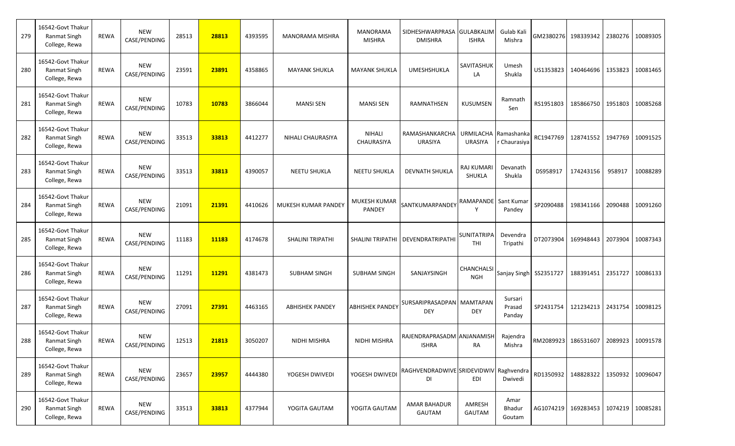| 279 | 16542-Govt Thakur<br>Ranmat Singh<br>College, Rewa        | <b>REWA</b> | <b>NEW</b><br>CASE/PENDING | 28513 | 28813 | 4393595 | <b>MANORAMA MISHRA</b>  | <b>MANORAMA</b><br><b>MISHRA</b> | SIDHESHWARPRASA GULABKALIM<br><b>DMISHRA</b> | <b>ISHRA</b>              | Gulab Kali<br>Mishra        |           | GM2380276 198339342                        | 2380276 | 10089305         |
|-----|-----------------------------------------------------------|-------------|----------------------------|-------|-------|---------|-------------------------|----------------------------------|----------------------------------------------|---------------------------|-----------------------------|-----------|--------------------------------------------|---------|------------------|
| 280 | 16542-Govt Thakur<br>Ranmat Singh<br>College, Rewa        | <b>REWA</b> | <b>NEW</b><br>CASE/PENDING | 23591 | 23891 | 4358865 | <b>MAYANK SHUKLA</b>    | <b>MAYANK SHUKLA</b>             | UMESHSHUKLA                                  | SAVITASHUK<br>LA          | Umesh<br>Shukla             | US1353823 | 140464696                                  | 1353823 | 10081465         |
| 281 | 16542-Govt Thakur<br><b>Ranmat Singh</b><br>College, Rewa | <b>REWA</b> | <b>NEW</b><br>CASE/PENDING | 10783 | 10783 | 3866044 | <b>MANSI SEN</b>        | <b>MANSI SEN</b>                 | RAMNATHSEN                                   | <b>KUSUMSEN</b>           | Ramnath<br>Sen              | RS1951803 | 185866750                                  | 1951803 | 10085268         |
| 282 | 16542-Govt Thakur<br>Ranmat Singh<br>College, Rewa        | <b>REWA</b> | <b>NEW</b><br>CASE/PENDING | 33513 | 33813 | 4412277 | NIHALI CHAURASIYA       | <b>NIHALI</b><br>CHAURASIYA      | RAMASHANKARCHA<br><b>URASIYA</b>             | URMILACHA<br>URASIYA      | Ramashanka<br>Chaurasiya    | RC1947769 | 128741552                                  | 1947769 | 10091525         |
| 283 | 16542-Govt Thakur<br><b>Ranmat Singh</b><br>College, Rewa | <b>REWA</b> | <b>NEW</b><br>CASE/PENDING | 33513 | 33813 | 4390057 | <b>NEETU SHUKLA</b>     | <b>NEETU SHUKLA</b>              | <b>DEVNATH SHUKLA</b>                        | RAJ KUMARI<br>SHUKLA      | Devanath<br>Shukla          | DS958917  | 174243156                                  | 958917  | 10088289         |
| 284 | 16542-Govt Thakur<br>Ranmat Singh<br>College, Rewa        | <b>REWA</b> | <b>NEW</b><br>CASE/PENDING | 21091 | 21391 | 4410626 | MUKESH KUMAR PANDEY     | MUKESH KUMAR<br>PANDEY           | SANTKUMARPANDEY                              | RAMAPANDE Sant Kumar<br>Y | Pandey                      | SP2090488 | 198341166                                  | 2090488 | 10091260         |
| 285 | 16542-Govt Thakur<br><b>Ranmat Singh</b><br>College, Rewa | <b>REWA</b> | <b>NEW</b><br>CASE/PENDING | 11183 | 11183 | 4174678 | <b>SHALINI TRIPATHI</b> | <b>SHALINI TRIPATHI</b>          | DEVENDRATRIPATHI                             | <b>SUNITATRIPA</b><br>THI | Devendra<br>Tripathi        | DT2073904 | 169948443                                  | 2073904 | 10087343         |
| 286 | 16542-Govt Thakur<br>Ranmat Singh<br>College, Rewa        | <b>REWA</b> | <b>NEW</b><br>CASE/PENDING | 11291 | 11291 | 4381473 | <b>SUBHAM SINGH</b>     | <b>SUBHAM SINGH</b>              | SANJAYSINGH                                  | CHANCHALSI<br>NGH         | Sanjay Singh SS2351727      |           | 188391451                                  | 2351727 | 10086133         |
| 287 | 16542-Govt Thakur<br><b>Ranmat Singh</b><br>College, Rewa | <b>REWA</b> | <b>NEW</b><br>CASE/PENDING | 27091 | 27391 | 4463165 | <b>ABHISHEK PANDEY</b>  | <b>ABHISHEK PANDEY</b>           | SURSARIPRASADPAN MAMTAPAN<br><b>DEY</b>      | <b>DEY</b>                | Sursari<br>Prasad<br>Panday | SP2431754 | 121234213                                  | 2431754 | 10098125         |
| 288 | 16542-Govt Thakur<br>Ranmat Singh<br>College, Rewa        | REWA        | <b>NEW</b><br>CASE/PENDING | 12513 | 21813 | 3050207 | <b>NIDHI MISHRA</b>     | <b>NIDHI MISHRA</b>              | RAJENDRAPRASADM ANJANAMISH<br><b>ISHRA</b>   | RA                        | Rajendra<br>Mishra          |           | RM2089923 186531607                        | 2089923 | 10091578         |
| 289 | 16542-Govt Thakur<br>Ranmat Singh<br>College, Rewa        | REWA        | <b>NEW</b><br>CASE/PENDING | 23657 | 23957 | 4444380 | YOGESH DWIVEDI          | YOGESH DWIVEDI                   | RAGHVENDRADWIVE SRIDEVIDWIV Raghvendra<br>DI | EDI                       | Dwivedi                     |           | RD1350932 148828322                        |         | 1350932 10096047 |
| 290 | 16542-Govt Thakur<br>Ranmat Singh<br>College, Rewa        | REWA        | <b>NEW</b><br>CASE/PENDING | 33513 | 33813 | 4377944 | YOGITA GAUTAM           | YOGITA GAUTAM                    | <b>AMAR BAHADUR</b><br>GAUTAM                | AMRESH<br>GAUTAM          | Amar<br>Bhadur<br>Goutam    |           | AG1074219   169283453   1074219   10085281 |         |                  |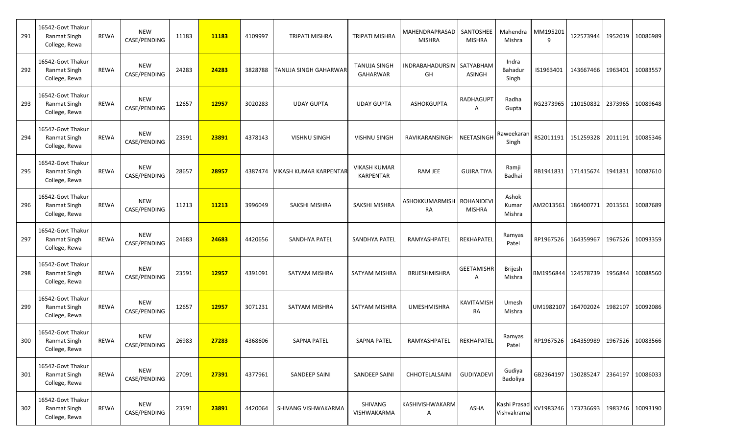| 291 | 16542-Govt Thakur<br>Ranmat Singh<br>College, Rewa        | <b>REWA</b> | <b>NEW</b><br>CASE/PENDING | 11183 | 11183 | 4109997 | TRIPATI MISHRA                | TRIPATI MISHRA                          | MAHENDRAPRASAD  <br><b>MISHRA</b> | SANTOSHEE<br><b>MISHRA</b>        | Mahendra<br>Mishra          | MM195201<br>9 | 122573944                                  | 1952019 | 10086989         |
|-----|-----------------------------------------------------------|-------------|----------------------------|-------|-------|---------|-------------------------------|-----------------------------------------|-----------------------------------|-----------------------------------|-----------------------------|---------------|--------------------------------------------|---------|------------------|
| 292 | 16542-Govt Thakur<br><b>Ranmat Singh</b><br>College, Rewa | <b>REWA</b> | <b>NEW</b><br>CASE/PENDING | 24283 | 24283 | 3828788 | <b>TANUJA SINGH GAHARWAR</b>  | <b>TANUJA SINGH</b><br><b>GAHARWAR</b>  | INDRABAHADURSIN SATYABHAM<br>GH   | <b>ASINGH</b>                     | Indra<br>Bahadur<br>Singh   | IS1963401     | 143667466                                  | 1963401 | 10083557         |
| 293 | 16542-Govt Thakur<br><b>Ranmat Singh</b><br>College, Rewa | <b>REWA</b> | <b>NEW</b><br>CASE/PENDING | 12657 | 12957 | 3020283 | <b>UDAY GUPTA</b>             | <b>UDAY GUPTA</b>                       | <b>ASHOKGUPTA</b>                 | <b>RADHAGUPT</b><br>A             | Radha<br>Gupta              | RG2373965     | 110150832                                  | 2373965 | 10089648         |
| 294 | 16542-Govt Thakur<br>Ranmat Singh<br>College, Rewa        | <b>REWA</b> | <b>NEW</b><br>CASE/PENDING | 23591 | 23891 | 4378143 | <b>VISHNU SINGH</b>           | <b>VISHNU SINGH</b>                     | RAVIKARANSINGH                    | NEETASINGH                        | Raweekaran<br>Singh         | RS2011191     | 151259328                                  | 2011191 | 10085346         |
| 295 | 16542-Govt Thakur<br><b>Ranmat Singh</b><br>College, Rewa | <b>REWA</b> | <b>NEW</b><br>CASE/PENDING | 28657 | 28957 | 4387474 | <b>VIKASH KUMAR KARPENTAF</b> | <b>VIKASH KUMAR</b><br><b>KARPENTAR</b> | RAM JEE                           | <b>GUJRA TIYA</b>                 | Ramji<br>Badhai             |               | RB1941831 171415674                        | 1941831 | 10087610         |
| 296 | 16542-Govt Thakur<br>Ranmat Singh<br>College, Rewa        | <b>REWA</b> | <b>NEW</b><br>CASE/PENDING | 11213 | 11213 | 3996049 | <b>SAKSHI MISHRA</b>          | <b>SAKSHI MISHRA</b>                    | ASHOKKUMARMISH<br><b>RA</b>       | <b>ROHANIDEV</b><br><b>MISHRA</b> | Ashok<br>Kumar<br>Mishra    | AM2013561     | 186400771                                  | 2013561 | 10087689         |
| 297 | 16542-Govt Thakur<br><b>Ranmat Singh</b><br>College, Rewa | <b>REWA</b> | <b>NEW</b><br>CASE/PENDING | 24683 | 24683 | 4420656 | SANDHYA PATEL                 | SANDHYA PATEL                           | RAMYASHPATEL                      | REKHAPATEL                        | Ramyas<br>Patel             | RP1967526     | 164359967                                  | 1967526 | 10093359         |
| 298 | 16542-Govt Thakur<br><b>Ranmat Singh</b><br>College, Rewa | <b>REWA</b> | <b>NEW</b><br>CASE/PENDING | 23591 | 12957 | 4391091 | SATYAM MISHRA                 | SATYAM MISHRA                           | <b>BRIJESHMISHRA</b>              | <b>GEETAMISHR</b><br>A            | <b>Brijesh</b><br>Mishra    |               | BM1956844 124578739                        | 1956844 | 10088560         |
| 299 | 16542-Govt Thakur<br><b>Ranmat Singh</b><br>College, Rewa | <b>REWA</b> | <b>NEW</b><br>CASE/PENDING | 12657 | 12957 | 3071231 | <b>SATYAM MISHRA</b>          | SATYAM MISHRA                           | <b>UMESHMISHRA</b>                | <b>KAVITAMISH</b><br>RA           | Umesh<br>Mishra             | UM1982107     | 164702024                                  | 1982107 | 10092086         |
| 300 | 16542-Govt Thakur<br>Ranmat Singh<br>College, Rewa        | REWA        | <b>NEW</b><br>CASE/PENDING | 26983 | 27283 | 4368606 | <b>SAPNA PATEL</b>            | <b>SAPNA PATEL</b>                      | RAMYASHPATEL                      | REKHAPATEL                        | Ramyas<br>Patel             |               | RP1967526 164359989                        | 1967526 | 10083566         |
| 301 | 16542-Govt Thakur<br>Ranmat Singh<br>College, Rewa        | REWA        | <b>NEW</b><br>CASE/PENDING | 27091 | 27391 | 4377961 | SANDEEP SAINI                 | <b>SANDEEP SAINI</b>                    | CHHOTELALSAINI                    | <b>GUDIYADEVI</b>                 | Gudiya<br>Badoliya          |               | GB2364197 130285247                        |         | 2364197 10086033 |
| 302 | 16542-Govt Thakur<br>Ranmat Singh<br>College, Rewa        | REWA        | <b>NEW</b><br>CASE/PENDING | 23591 | 23891 | 4420064 | SHIVANG VISHWAKARMA           | SHIVANG<br>VISHWAKARMA                  | KASHIVISHWAKARM<br>Α              | ASHA                              | Kashi Prasad<br>Vishvakrama |               | KV1983246   173736693   1983246   10093190 |         |                  |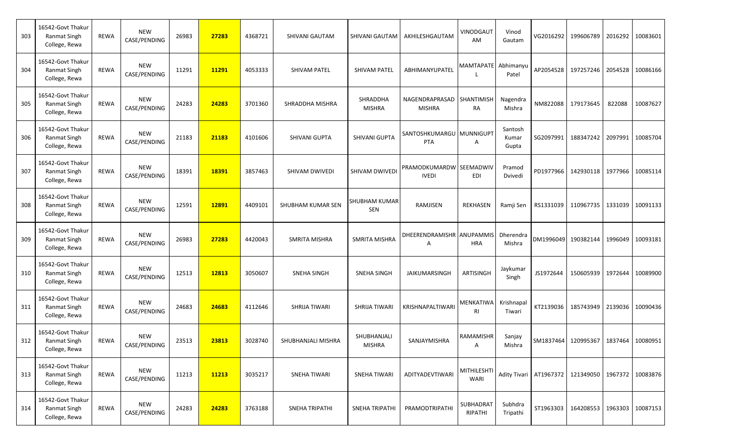| 303 | 16542-Govt Thakur<br>Ranmat Singh<br>College, Rewa        | <b>REWA</b> | <b>NEW</b><br>CASE/PENDING | 26983 | 27283 | 4368721 | SHIVANI GAUTAM      | SHIVANI GAUTAM               | AKHILESHGAUTAM                             | VINODGAUT<br>AM      | Vinod<br>Gautam           |                                      | VG2016292 199606789                        | 2016292 | 10083601         |
|-----|-----------------------------------------------------------|-------------|----------------------------|-------|-------|---------|---------------------|------------------------------|--------------------------------------------|----------------------|---------------------------|--------------------------------------|--------------------------------------------|---------|------------------|
| 304 | 16542-Govt Thakur<br>Ranmat Singh<br>College, Rewa        | <b>REWA</b> | <b>NEW</b><br>CASE/PENDING | 11291 | 11291 | 4053333 | <b>SHIVAM PATEL</b> | <b>SHIVAM PATEL</b>          | ABHIMANYUPATEI                             | MAMTAPATE Abhimanyu  | Patel                     | AP2054528                            | 197257246                                  | 2054528 | 10086166         |
| 305 | 16542-Govt Thakur<br><b>Ranmat Singh</b><br>College, Rewa | <b>REWA</b> | <b>NEW</b><br>CASE/PENDING | 24283 | 24283 | 3701360 | SHRADDHA MISHRA     | SHRADDHA<br><b>MISHRA</b>    | NAGENDRAPRASAD SHANTIMISH<br><b>MISHRA</b> | RA                   | Nagendra<br>Mishra        | NM822088                             | 179173645                                  | 822088  | 10087627         |
| 306 | 16542-Govt Thakur<br>Ranmat Singh<br>College, Rewa        | <b>REWA</b> | <b>NEW</b><br>CASE/PENDING | 21183 | 21183 | 4101606 | SHIVANI GUPTA       | SHIVANI GUPTA                | SANTOSHKUMARGU   MUNNIGUPT<br>PTA          | Α                    | Santosh<br>Kumar<br>Gupta | SG2097991                            | 188347242                                  | 2097991 | 10085704         |
| 307 | 16542-Govt Thakur<br><b>Ranmat Singh</b><br>College, Rewa | <b>REWA</b> | <b>NEW</b><br>CASE/PENDING | 18391 | 18391 | 3857463 | SHIVAM DWIVEDI      | SHIVAM DWIVED                | PRAMODKUMARDW SEEMADWIV<br><b>IVEDI</b>    | EDI                  | Pramod<br>Dvivedi         | PD1977966                            | 142930118                                  | 1977966 | 10085114         |
| 308 | 16542-Govt Thakur<br>Ranmat Singh<br>College, Rewa        | <b>REWA</b> | <b>NEW</b><br>CASE/PENDING | 12591 | 12891 | 4409101 | SHUBHAM KUMAR SEN   | SHUBHAM KUMAR<br>SEN         | RAMJISEN                                   | <b>REKHASEN</b>      | Ramji Sen                 | RS1331039                            | 110967735                                  | 1331039 | 10091133         |
| 309 | 16542-Govt Thakur<br><b>Ranmat Singh</b><br>College, Rewa | <b>REWA</b> | <b>NEW</b><br>CASE/PENDING | 26983 | 27283 | 4420043 | SMRITA MISHRA       | SMRITA MISHRA                | DHEERENDRAMISHR ANUPAMMIS<br>A             | <b>HRA</b>           | Dherendra<br>Mishra       | DM1996049                            | 190382144                                  | 1996049 | 10093181         |
| 310 | 16542-Govt Thakur<br><b>Ranmat Singh</b><br>College, Rewa | <b>REWA</b> | <b>NEW</b><br>CASE/PENDING | 12513 | 12813 | 3050607 | <b>SNEHA SINGH</b>  | SNEHA SINGH                  | JAIKUMARSINGH                              | <b>ARTISINGH</b>     | Jaykumar<br>Singh         | JS1972644                            | 150605939                                  | 1972644 | 10089900         |
| 311 | 16542-Govt Thakur<br><b>Ranmat Singh</b><br>College, Rewa | <b>REWA</b> | <b>NEW</b><br>CASE/PENDING | 24683 | 24683 | 4112646 | SHRIJA TIWARI       | SHRIJA TIWARI                | <b>KRISHNAPALTIWAR</b>                     | MENKATIWA<br>RI      | Krishnapal<br>Tiwari      | KT2139036                            | 185743949                                  | 2139036 | 10090436         |
| 312 | 16542-Govt Thakur<br>Ranmat Singh<br>College, Rewa        | REWA        | <b>NEW</b><br>CASE/PENDING | 23513 | 23813 | 3028740 | SHUBHANJALI MISHRA  | SHUBHANJALI<br><b>MISHRA</b> | SANJAYMISHRA                               | RAMAMISHR<br>A       | Sanjay<br>Mishra          |                                      | SM1837464 120995367                        | 1837464 | 10080951         |
| 313 | 16542-Govt Thakur<br>Ranmat Singh<br>College, Rewa        | REWA        | <b>NEW</b><br>CASE/PENDING | 11213 | 11213 | 3035217 | SNEHA TIWARI        | <b>SNEHA TIWARI</b>          | ADITYADEVTIWARI                            | MITHILESHTI<br>WARI  |                           | Adity Tivari   AT1967372   121349050 |                                            |         | 1967372 10083876 |
| 314 | 16542-Govt Thakur<br>Ranmat Singh<br>College, Rewa        | REWA        | <b>NEW</b><br>CASE/PENDING | 24283 | 24283 | 3763188 | SNEHA TRIPATHI      | SNEHA TRIPATHI               | PRAMODTRIPATHI                             | SUBHADRAT<br>RIPATHI | Subhdra<br>Tripathi       |                                      | ST1963303   164208553   1963303   10087153 |         |                  |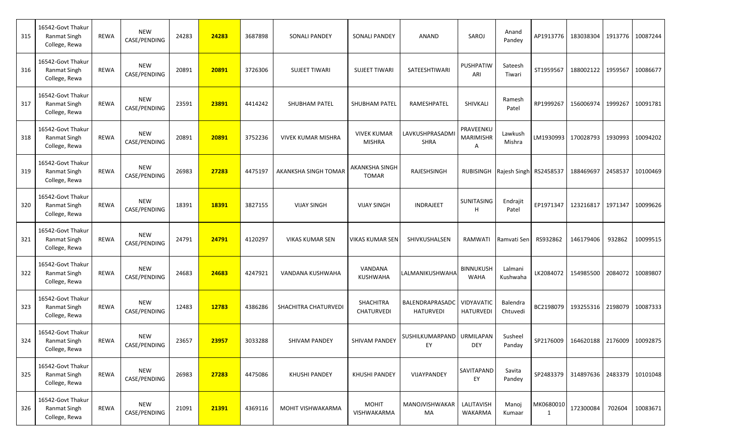| 315 | 16542-Govt Thakur<br><b>Ranmat Singh</b><br>College, Rewa | <b>REWA</b> | <b>NEW</b><br>CASE/PENDING | 24283 | 24283 | 3687898 | <b>SONALI PANDEY</b>      | <b>SONALI PANDEY</b>                | ANAND                               | SAROJ                              | Anand<br>Pandey                  |                | AP1913776 183038304                        |         | 1913776 10087244 |
|-----|-----------------------------------------------------------|-------------|----------------------------|-------|-------|---------|---------------------------|-------------------------------------|-------------------------------------|------------------------------------|----------------------------------|----------------|--------------------------------------------|---------|------------------|
| 316 | 16542-Govt Thakur<br><b>Ranmat Singh</b><br>College, Rewa | <b>REWA</b> | <b>NEW</b><br>CASE/PENDING | 20891 | 20891 | 3726306 | <b>SUJEET TIWARI</b>      | <b>SUJEET TIWARI</b>                | SATEESHTIWARI                       | PUSHPATIW<br>ARI                   | Sateesh<br>Tiwari                | ST1959567      | 188002122                                  | 1959567 | 10086677         |
| 317 | 16542-Govt Thakur<br><b>Ranmat Singh</b><br>College, Rewa | <b>REWA</b> | <b>NEW</b><br>CASE/PENDING | 23591 | 23891 | 4414242 | <b>SHUBHAM PATEL</b>      | <b>SHUBHAM PATEL</b>                | RAMESHPATEL                         | SHIVKALI                           | Ramesh<br>Patel                  | RP1999267      | 156006974                                  | 1999267 | 10091781         |
| 318 | 16542-Govt Thakur<br><b>Ranmat Singh</b><br>College, Rewa | <b>REWA</b> | <b>NEW</b><br>CASE/PENDING | 20891 | 20891 | 3752236 | <b>VIVEK KUMAR MISHRA</b> | <b>VIVEK KUMAR</b><br><b>MISHRA</b> | LAVKUSHPRASADMI<br>SHRA             | PRAVEENKU<br><b>MARIMISHR</b><br>Α | Lawkush<br>Mishra                |                | LM1930993 170028793                        | 1930993 | 10094202         |
| 319 | 16542-Govt Thakur<br>Ranmat Singh<br>College, Rewa        | <b>REWA</b> | <b>NEW</b><br>CASE/PENDING | 26983 | 27283 | 4475197 | AKANKSHA SINGH TOMAR      | <b>AKANKSHA SINGH</b><br>TOMAR      | RAJESHSINGH                         |                                    | RUBISINGH Rajesh Singh RS2458537 |                | 188469697                                  | 2458537 | 10100469         |
| 320 | 16542-Govt Thakur<br>Ranmat Singh<br>College, Rewa        | <b>REWA</b> | <b>NEW</b><br>CASE/PENDING | 18391 | 18391 | 3827155 | <b>VIJAY SINGH</b>        | <b>VIJAY SINGH</b>                  | INDRAJEET                           | SUNITASING<br>H                    | Endrajit<br>Patel                | EP1971347      | 123216817                                  | 1971347 | 10099626         |
| 321 | 16542-Govt Thakur<br><b>Ranmat Singh</b><br>College, Rewa | <b>REWA</b> | <b>NEW</b><br>CASE/PENDING | 24791 | 24791 | 4120297 | <b>VIKAS KUMAR SEN</b>    | VIKAS KUMAR SEN                     | SHIVKUSHALSEN                       | RAMWATI                            | Ramvati Sen                      | RS932862       | 146179406                                  | 932862  | 10099515         |
| 322 | 16542-Govt Thakur<br>Ranmat Singh<br>College, Rewa        | <b>REWA</b> | <b>NEW</b><br>CASE/PENDING | 24683 | 24683 | 4247921 | VANDANA KUSHWAHA          | VANDANA<br><b>KUSHWAHA</b>          | LALMANIKUSHWAHA                     | <b>BINNUKUSH</b><br><b>WAHA</b>    | Lalmani<br>Kushwaha              | LK2084072      | 154985500                                  | 2084072 | 10089807         |
| 323 | 16542-Govt Thakur<br><b>Ranmat Singh</b><br>College, Rewa | <b>REWA</b> | <b>NEW</b><br>CASE/PENDING | 12483 | 12783 | 4386286 | SHACHITRA CHATURVEDI      | <b>SHACHITRA</b><br>CHATURVEDI      | BALENDRAPRASADC<br><b>HATURVEDI</b> | VIDYAVATIC<br><b>HATURVEDI</b>     | Balendra<br>Chtuvedi             | BC2198079      | 193255316                                  | 2198079 | 10087333         |
| 324 | 16542-Govt Thakur<br>Ranmat Singh<br>College, Rewa        | REWA        | NEW<br>CASE/PENDING        | 23657 | 23957 | 3033288 | <b>SHIVAM PANDEY</b>      | SHIVAM PANDEY                       | SUSHILKUMARPAND   URMILAPAN<br>EY   | <b>DEY</b>                         | Susheel<br>Panday                |                | SP2176009   164620188   2176009   10092875 |         |                  |
| 325 | 16542-Govt Thakur<br>Ranmat Singh<br>College, Rewa        | REWA        | <b>NEW</b><br>CASE/PENDING | 26983 | 27283 | 4475086 | <b>KHUSHI PANDEY</b>      | <b>KHUSHI PANDEY</b>                | VIJAYPANDEY                         | SAVITAPAND<br>EY                   | Savita<br>Pandey                 |                | SP2483379 314897636                        |         | 2483379 10101048 |
| 326 | 16542-Govt Thakur<br><b>Ranmat Singh</b><br>College, Rewa | REWA        | <b>NEW</b><br>CASE/PENDING | 21091 | 21391 | 4369116 | MOHIT VISHWAKARMA         | <b>MOHIT</b><br>VISHWAKARMA         | MANOJVISHWAKAR<br>MA                | LALITAVISH<br>WAKARMA              | Manoj<br>Kumaar                  | MK0680010<br>1 | 172300084                                  | 702604  | 10083671         |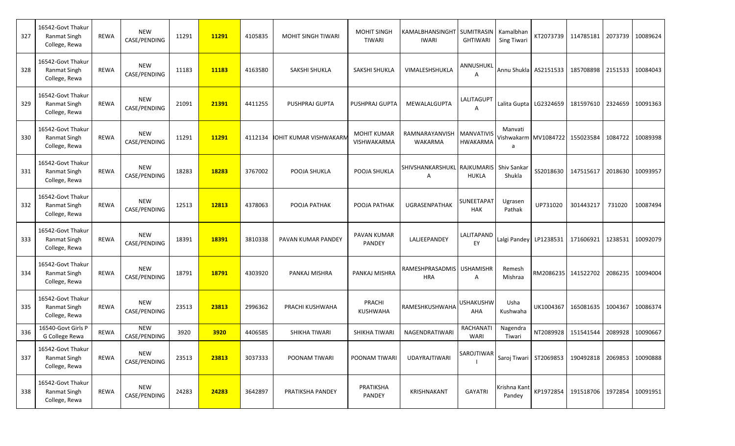| 327 | 16542-Govt Thakur<br><b>Ranmat Singh</b><br>College, Rewa | <b>REWA</b> | <b>NEW</b><br>CASE/PENDING | 11291 | 11291 | 4105835 | <b>MOHIT SINGH TIWARI</b> | <b>MOHIT SINGH</b><br><b>TIWARI</b> | KAMALBHANSINGHT SUMITRASIN<br><b>IWARI</b> | <b>GHTIWARI</b>                 | Kamalbhan<br><b>Sing Tiwari</b> | KT2073739                          | 114785181                                  | 2073739 | 10089624 |
|-----|-----------------------------------------------------------|-------------|----------------------------|-------|-------|---------|---------------------------|-------------------------------------|--------------------------------------------|---------------------------------|---------------------------------|------------------------------------|--------------------------------------------|---------|----------|
| 328 | 16542-Govt Thakur<br><b>Ranmat Singh</b><br>College, Rewa | <b>REWA</b> | <b>NEW</b><br>CASE/PENDING | 11183 | 11183 | 4163580 | SAKSHI SHUKLA             | SAKSHI SHUKLA                       | VIMALESHSHUKLA                             | ANNUSHUKL<br>A                  |                                 | Annu Shukla AS2151533              | 185708898                                  | 2151533 | 10084043 |
| 329 | 16542-Govt Thakur<br><b>Ranmat Singh</b><br>College, Rewa | <b>REWA</b> | <b>NEW</b><br>CASE/PENDING | 21091 | 21391 | 4411255 | PUSHPRAJ GUPTA            | PUSHPRAJ GUPTA                      | <b>MEWALALGUPTA</b>                        | LALITAGUPT<br>A                 |                                 | Lalita Gupta   LG2324659           | 181597610                                  | 2324659 | 10091363 |
| 330 | 16542-Govt Thakur<br><b>Ranmat Singh</b><br>College, Rewa | <b>REWA</b> | <b>NEW</b><br>CASE/PENDING | 11291 | 11291 | 4112134 | IOHIT KUMAR VISHWAKARN    | <b>MOHIT KUMAR</b><br>VISHWAKARMA   | RAMNARAYANVISH   MANVATIVIS<br>WAKARMA     | <b>HWAKARMA</b>                 | Manvati<br>a                    | Vishwakarm   MV1084722   155023584 |                                            | 1084722 | 10089398 |
| 331 | 16542-Govt Thakur<br><b>Ranmat Singh</b><br>College, Rewa | <b>REWA</b> | <b>NEW</b><br>CASE/PENDING | 18283 | 18283 | 3767002 | POOJA SHUKLA              | POOJA SHUKLA                        | SHIVSHANKARSHUKLI RAJKUMARISI<br>A         | <b>HUKLA</b>                    | Shiv Sankar<br>Shukla           | SS2018630                          | 147515617                                  | 2018630 | 10093957 |
| 332 | 16542-Govt Thakur<br>Ranmat Singh<br>College, Rewa        | <b>REWA</b> | <b>NEW</b><br>CASE/PENDING | 12513 | 12813 | 4378063 | POOJA PATHAK              | POOJA PATHAK                        | UGRASENPATHAK                              | <b>SUNEETAPAT</b><br><b>HAK</b> | Ugrasen<br>Pathak               | UP731020                           | 301443217                                  | 731020  | 10087494 |
| 333 | 16542-Govt Thakur<br><b>Ranmat Singh</b><br>College, Rewa | REWA        | <b>NEW</b><br>CASE/PENDING | 18391 | 18391 | 3810338 | PAVAN KUMAR PANDEY        | PAVAN KUMAR<br>PANDEY               | LALJEEPANDEY                               | LALITAPAND<br>EY                | Lalgi Pandey LP1238531          |                                    | 171606921                                  | 1238531 | 10092079 |
| 334 | 16542-Govt Thakur<br><b>Ranmat Singh</b><br>College, Rewa | <b>REWA</b> | <b>NEW</b><br>CASE/PENDING | 18791 | 18791 | 4303920 | PANKAJ MISHRA             | PANKAJ MISHRA                       | RAMESHPRASADMIS   USHAMISHR<br><b>HRA</b>  | Α                               | Remesh<br>Mishraa               |                                    | RM2086235 141522702                        | 2086235 | 10094004 |
| 335 | 16542-Govt Thakur<br>Ranmat Singh<br>College, Rewa        | REWA        | <b>NEW</b><br>CASE/PENDING | 23513 | 23813 | 2996362 | PRACHI KUSHWAHA           | PRACHI<br>KUSHWAHA                  | RAMESHKUSHWAHA                             | <b>USHAKUSHW</b><br>AHA         | Usha<br>Kushwaha                | UK1004367                          | 165081635                                  | 1004367 | 10086374 |
| 336 | 16540-Govt Girls P<br>G College Rewa                      | <b>REWA</b> | <b>NEW</b><br>CASE/PENDING | 3920  | 3920  | 4406585 | SHIKHA TIWARI             | SHIKHA TIWARI                       | <b>NAGENDRATIWAR</b>                       | <b>RACHANATI</b><br>WARI        | Nagendra<br>Tiwari              | NT2089928                          | 151541544                                  | 2089928 | 10090667 |
| 337 | 16542-Govt Thakur<br>Ranmat Singh<br>College, Rewa        | <b>REWA</b> | <b>NEW</b><br>CASE/PENDING | 23513 | 23813 | 3037333 | POONAM TIWARI             | POONAM TIWARI                       | <b>UDAYRAJTIWARI</b>                       | SAROJTIWAR                      |                                 | Saroj Tiwari ST2069853             | 190492818                                  | 2069853 | 10090888 |
| 338 | 16542-Govt Thakur<br><b>Ranmat Singh</b><br>College, Rewa | <b>REWA</b> | <b>NEW</b><br>CASE/PENDING | 24283 | 24283 | 3642897 | PRATIKSHA PANDEY          | PRATIKSHA<br>PANDEY                 | KRISHNAKANT                                | <b>GAYATRI</b>                  | Krishna Kant<br>Pandey          |                                    | KP1972854   191518706   1972854   10091951 |         |          |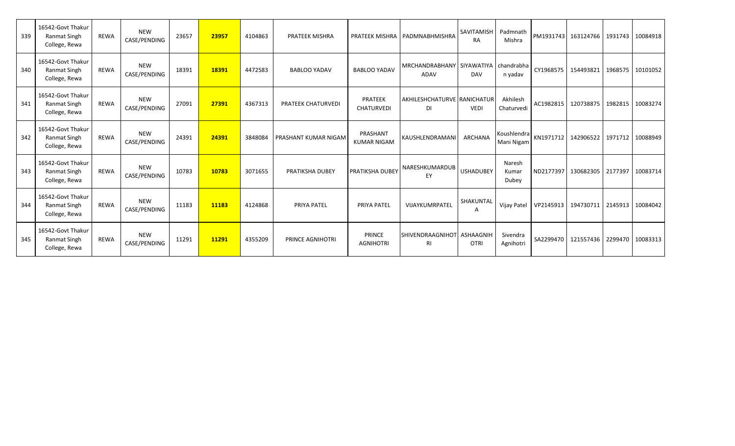| 339 | 16542-Govt Thakur<br><b>Ranmat Singh</b><br>College, Rewa | <b>REWA</b> | <b>NEW</b><br>CASE/PENDING | 23657 | 23957 | 4104863 | <b>PRATEEK MISHRA</b>     |                                | PRATEEK MISHRA   PADMNABHMISHRA                | <b>SAVITAMISH</b><br><b>RA</b> | Padmnath<br>Mishra        |                     | PM1931743 163124766 |         | 1931743 10084918 |
|-----|-----------------------------------------------------------|-------------|----------------------------|-------|-------|---------|---------------------------|--------------------------------|------------------------------------------------|--------------------------------|---------------------------|---------------------|---------------------|---------|------------------|
| 340 | 16542-Govt Thakur<br><b>Ranmat Singh</b><br>College, Rewa | <b>REWA</b> | <b>NEW</b><br>CASE/PENDING | 18391 | 18391 | 4472583 | <b>BABLOO YADAV</b>       | <b>BABLOO YADAV</b>            | MRCHANDRABHANY SIYAWATIYA   chandrabha<br>ADAV | <b>DAV</b>                     | n yadav                   |                     | CY1968575 154493821 | 1968575 | 10101052         |
| 341 | 16542-Govt Thakur<br>Ranmat Singh<br>College, Rewa        | <b>REWA</b> | <b>NEW</b><br>CASE/PENDING | 27091 | 27391 | 4367313 | <b>PRATEEK CHATURVEDI</b> | PRATEEK<br><b>CHATURVEDI</b>   | <b>AKHILESHCHATURVE RANICHATUR</b><br>DI       | <b>VEDI</b>                    | Akhilesh<br>Chaturvedi    | AC1982815           | 120738875           | 1982815 | 10083274         |
| 342 | 16542-Govt Thakur<br><b>Ranmat Singh</b><br>College, Rewa | <b>REWA</b> | <b>NEW</b><br>CASE/PENDING | 24391 | 24391 | 3848084 | PRASHANT KUMAR NIGAM      | PRASHANT<br><b>KUMAR NIGAM</b> | KAUSHLENDRAMANI                                | ARCHANA                        | Koushlendra<br>Mani Nigam |                     | KN1971712 142906522 |         | 1971712 10088949 |
| 343 | 16542-Govt Thakur<br><b>Ranmat Singh</b><br>College, Rewa | <b>REWA</b> | <b>NEW</b><br>CASE/PENDING | 10783 | 10783 | 3071655 | PRATIKSHA DUBEY           | <b>PRATIKSHA DUBEY</b>         | NARESHKUMARDUB<br>EY                           | <b>USHADUBEY</b>               | Naresh<br>Kumar<br>Dubey  |                     | ND2177397 130682305 | 2177397 | 10083714         |
| 344 | 16542-Govt Thakur<br>Ranmat Singh<br>College, Rewa        | <b>REWA</b> | <b>NEW</b><br>CASE/PENDING | 11183 | 11183 | 4124868 | PRIYA PATEL               | PRIYA PATEL                    | VIJAYKUMRPATEL                                 | SHAKUNTAL<br>A                 | Vijay Patel               | VP2145913 194730711 |                     | 2145913 | 10084042         |
| 345 | 16542-Govt Thakur<br>Ranmat Singh<br>College, Rewa        | <b>REWA</b> | <b>NEW</b><br>CASE/PENDING | 11291 | 11291 | 4355209 | <b>PRINCE AGNIHOTRI</b>   | PRINCE<br><b>AGNIHOTRI</b>     | SHIVENDRAAGNIHOT ASHAAGNIH<br><b>RI</b>        | <b>OTRI</b>                    | Sivendra<br>Agnihotri     | SA2299470           | 121557436           | 2299470 | 10083313         |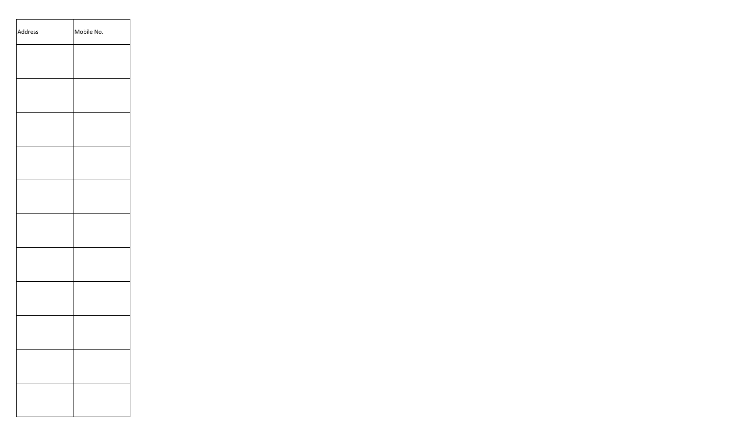| Address | Mobile No. |
|---------|------------|
|         |            |
|         |            |
|         |            |
|         |            |
|         |            |
|         |            |
|         |            |
|         |            |
|         |            |
|         |            |
|         |            |